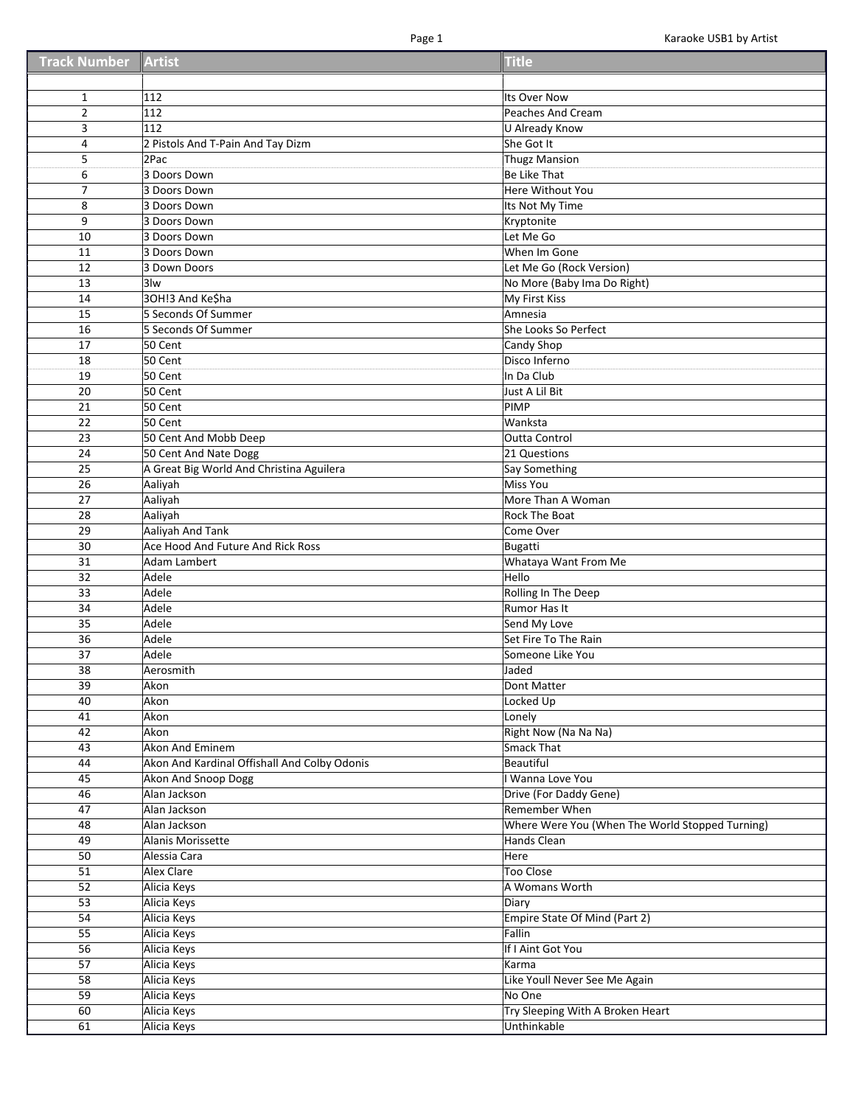| <b>Track Number Artist</b> |                                              | <b>Title</b>                                    |
|----------------------------|----------------------------------------------|-------------------------------------------------|
|                            |                                              |                                                 |
| $\mathbf{1}$               | 112                                          | Its Over Now                                    |
| $\overline{2}$             | 112                                          | Peaches And Cream                               |
| 3                          | 112                                          | U Already Know                                  |
| 4                          | 2 Pistols And T-Pain And Tay Dizm            | She Got It                                      |
| 5                          | 2Pac                                         | <b>Thugz Mansion</b>                            |
| 6                          | 3 Doors Down                                 | Be Like That                                    |
| 7                          | 3 Doors Down                                 | Here Without You                                |
| 8                          | 3 Doors Down                                 | Its Not My Time                                 |
| 9                          | 3 Doors Down                                 | Kryptonite                                      |
| 10                         | 3 Doors Down                                 | Let Me Go                                       |
| 11                         | 3 Doors Down                                 | When Im Gone                                    |
| 12                         | 3 Down Doors                                 | Let Me Go (Rock Version)                        |
| 13                         | 3lw                                          | No More (Baby Ima Do Right)                     |
| 14                         | 3OH!3 And Ke\$ha                             | My First Kiss                                   |
| 15                         | 5 Seconds Of Summer                          | Amnesia                                         |
| 16                         | 5 Seconds Of Summer                          | She Looks So Perfect                            |
| 17                         | 50 Cent                                      | Candy Shop                                      |
| 18                         | 50 Cent                                      | Disco Inferno                                   |
| 19                         | 50 Cent                                      | In Da Club                                      |
| 20                         | 50 Cent                                      | Just A Lil Bit                                  |
| 21                         | 50 Cent                                      | PIMP                                            |
| 22                         | 50 Cent                                      | Wanksta                                         |
| 23                         | 50 Cent And Mobb Deep                        | <b>Outta Control</b>                            |
| 24                         | 50 Cent And Nate Dogg                        | 21 Questions                                    |
| 25                         | A Great Big World And Christina Aguilera     | Say Something                                   |
| 26                         | Aaliyah                                      | Miss You                                        |
| 27                         | Aaliyah                                      | More Than A Woman                               |
| 28                         | Aaliyah                                      | <b>Rock The Boat</b>                            |
| 29                         | <b>Aaliyah And Tank</b>                      | Come Over                                       |
| 30                         | Ace Hood And Future And Rick Ross            | Bugatti                                         |
| 31                         | Adam Lambert                                 | Whataya Want From Me                            |
| 32                         | Adele                                        | Hello                                           |
| 33                         | Adele                                        | Rolling In The Deep                             |
| 34                         | Adele                                        | Rumor Has It                                    |
| 35                         | Adele                                        | Send My Love                                    |
| 36                         | Adele                                        | Set Fire To The Rain                            |
| 37                         | Adele                                        | Someone Like You                                |
| 38                         | Aerosmith                                    | Jaded                                           |
| 39                         | Akon                                         | Dont Matter                                     |
| 40                         | Akon                                         | Locked Up                                       |
| 41                         | Akon                                         | Lonely                                          |
| 42                         | Akon                                         | Right Now (Na Na Na)                            |
| 43                         | Akon And Eminem                              | Smack That                                      |
| 44                         | Akon And Kardinal Offishall And Colby Odonis | Beautiful                                       |
| 45                         | Akon And Snoop Dogg                          | I Wanna Love You                                |
| 46                         | Alan Jackson                                 | Drive (For Daddy Gene)                          |
| 47                         | Alan Jackson                                 | Remember When                                   |
| 48                         | Alan Jackson                                 | Where Were You (When The World Stopped Turning) |
| 49                         | Alanis Morissette                            | Hands Clean                                     |
| 50                         | Alessia Cara                                 | Here                                            |
| 51                         | Alex Clare                                   | <b>Too Close</b>                                |
| 52                         | Alicia Keys                                  | A Womans Worth                                  |
| 53                         | Alicia Keys                                  | Diary                                           |
| 54                         | Alicia Keys                                  | Empire State Of Mind (Part 2)                   |
| 55                         | Alicia Keys                                  | Fallin                                          |
| 56                         | Alicia Keys                                  | If I Aint Got You                               |
| 57                         | Alicia Keys                                  | Karma                                           |
| 58                         | Alicia Keys                                  | Like Youll Never See Me Again                   |
| 59                         | Alicia Keys                                  | No One                                          |
| 60                         | Alicia Keys                                  | Try Sleeping With A Broken Heart                |
| 61                         | Alicia Keys                                  | Unthinkable                                     |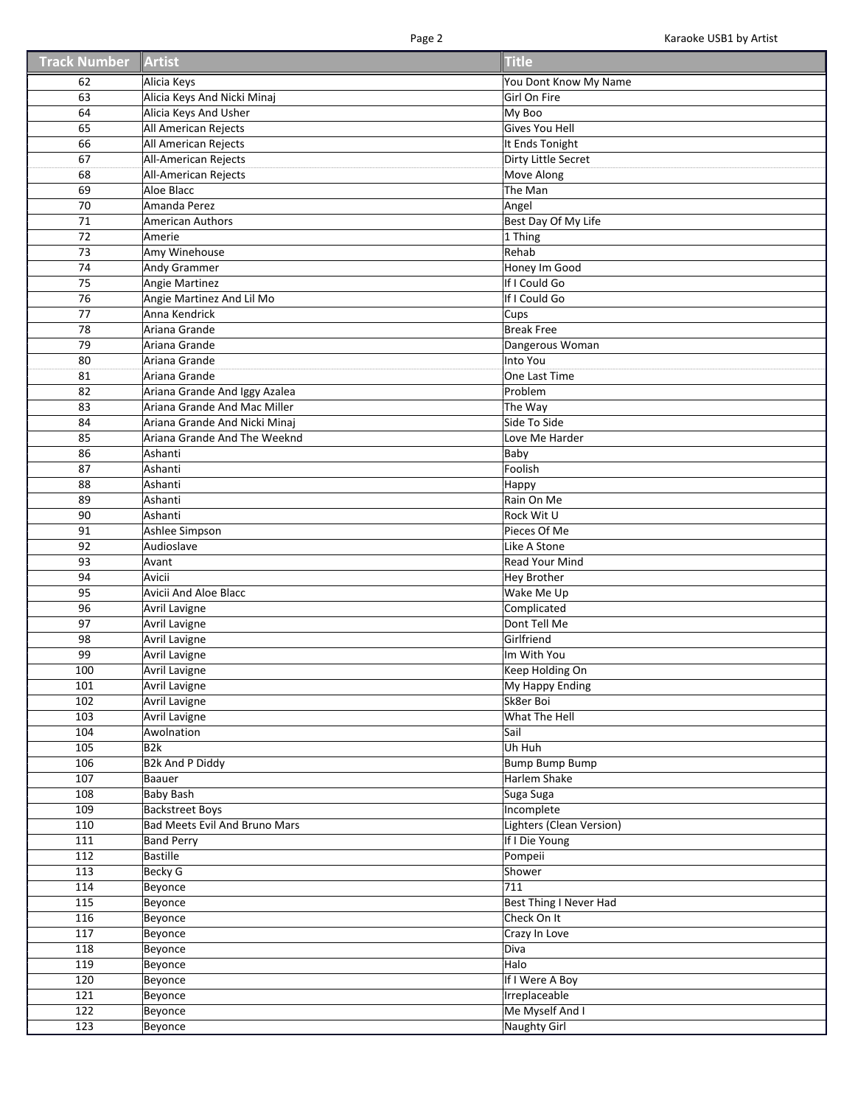| <b>Track Number</b> | Artist                        | <b>Title</b>             |
|---------------------|-------------------------------|--------------------------|
| 62                  | Alicia Keys                   | You Dont Know My Name    |
| 63                  | Alicia Keys And Nicki Minaj   | Girl On Fire             |
| 64                  | Alicia Keys And Usher         | My Boo                   |
| 65                  | All American Rejects          | Gives You Hell           |
| 66                  | All American Rejects          | It Ends Tonight          |
| 67                  | All-American Rejects          | Dirty Little Secret      |
| 68                  | All-American Rejects          | Move Along               |
| 69                  | Aloe Blacc                    | The Man                  |
| 70                  | Amanda Perez                  | Angel                    |
| 71                  | <b>American Authors</b>       | Best Day Of My Life      |
| 72                  | Amerie                        | 1 Thing                  |
| 73                  | Amy Winehouse                 | Rehab                    |
| 74                  | <b>Andy Grammer</b>           | Honey Im Good            |
| 75                  | Angie Martinez                | If I Could Go            |
| 76                  | Angie Martinez And Lil Mo     | If I Could Go            |
| 77                  | Anna Kendrick                 | Cups                     |
| 78                  | Ariana Grande                 | <b>Break Free</b>        |
| 79                  | Ariana Grande                 | Dangerous Woman          |
| 80                  | Ariana Grande                 | Into You                 |
|                     |                               |                          |
| 81                  | Ariana Grande                 | One Last Time            |
| 82                  | Ariana Grande And Iggy Azalea | Problem                  |
| 83                  | Ariana Grande And Mac Miller  | The Way                  |
| 84                  | Ariana Grande And Nicki Minaj | Side To Side             |
| 85                  | Ariana Grande And The Weeknd  | Love Me Harder           |
| 86                  | Ashanti                       | Baby                     |
| 87                  | Ashanti                       | Foolish                  |
| 88                  | Ashanti                       | Happy                    |
| 89                  | Ashanti                       | Rain On Me               |
| 90                  | Ashanti                       | Rock Wit U               |
| 91                  | Ashlee Simpson                | Pieces Of Me             |
| 92                  | Audioslave                    | Like A Stone             |
| 93                  | Avant                         | <b>Read Your Mind</b>    |
| 94                  | Avicii                        | <b>Hey Brother</b>       |
| 95                  | Avicii And Aloe Blacc         | Wake Me Up               |
| 96                  | Avril Lavigne                 | Complicated              |
| 97                  | Avril Lavigne                 | Dont Tell Me             |
| 98                  | <b>Avril Lavigne</b>          | Girlfriend               |
| 99                  | Avril Lavigne                 | Im With You              |
| 100                 | <b>Avril Lavigne</b>          | Keep Holding On          |
| 101                 | Avril Lavigne                 | My Happy Ending          |
| 102                 | Avril Lavigne                 | Sk8er Boi                |
| 103                 | Avril Lavigne                 | What The Hell            |
| 104                 | Awolnation                    | Sail                     |
| 105                 | B2k                           | Uh Huh                   |
| 106                 | <b>B2k And P Diddy</b>        | <b>Bump Bump Bump</b>    |
| 107                 | Baauer                        | Harlem Shake             |
| 108                 | <b>Baby Bash</b>              | Suga Suga                |
| 109                 | <b>Backstreet Boys</b>        | Incomplete               |
| 110                 | Bad Meets Evil And Bruno Mars | Lighters (Clean Version) |
| 111                 | <b>Band Perry</b>             | If I Die Young           |
| 112                 | <b>Bastille</b>               | Pompeii                  |
| 113                 | <b>Becky G</b>                | Shower                   |
| 114                 | Beyonce                       | 711                      |
| 115                 | Beyonce                       | Best Thing I Never Had   |
| 116                 | Beyonce                       | Check On It              |
| 117                 | Beyonce                       | Crazy In Love            |
| 118                 | Beyonce                       | Diva                     |
| 119                 | Beyonce                       | Halo                     |
| 120                 | Beyonce                       | If I Were A Boy          |
| 121                 | Beyonce                       | Irreplaceable            |
| 122                 | Beyonce                       | Me Myself And I          |
| 123                 | Beyonce                       | <b>Naughty Girl</b>      |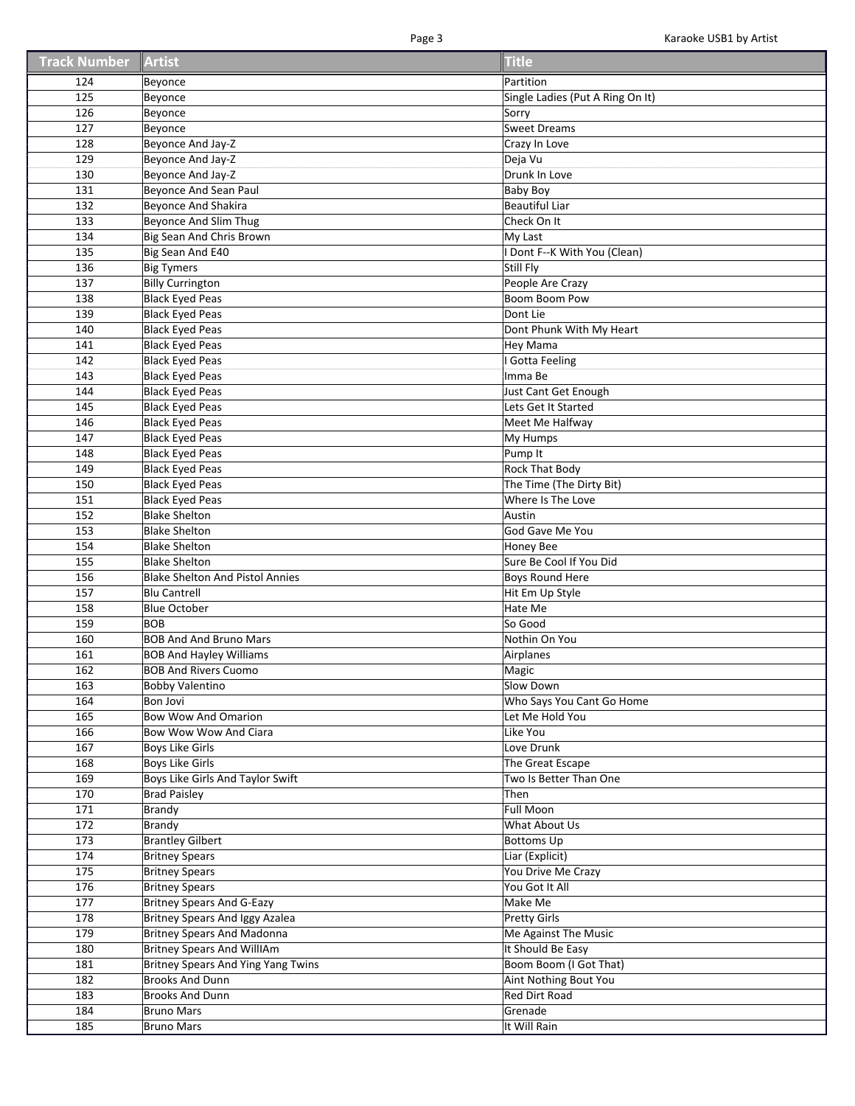| <b>Track Number</b> | <b>Artist</b>                              | <b>Title</b>                     |
|---------------------|--------------------------------------------|----------------------------------|
| 124                 | Beyonce                                    | Partition                        |
| 125                 | Beyonce                                    | Single Ladies (Put A Ring On It) |
| 126                 | Beyonce                                    | Sorry                            |
| 127                 | Beyonce                                    | <b>Sweet Dreams</b>              |
| 128                 | Beyonce And Jay-Z                          | Crazy In Love                    |
| 129                 | Beyonce And Jay-Z                          | Deja Vu                          |
| 130                 | Beyonce And Jay-Z                          | Drunk In Love                    |
| 131                 | Beyonce And Sean Paul                      | <b>Baby Boy</b>                  |
| 132                 | <b>Beyonce And Shakira</b>                 | Beautiful Liar                   |
| 133                 | Beyonce And Slim Thug                      | Check On It                      |
| 134                 | Big Sean And Chris Brown                   | My Last                          |
| 135                 | Big Sean And E40                           | I Dont F--K With You (Clean)     |
| 136                 | <b>Big Tymers</b>                          | Still Fly                        |
| 137                 | <b>Billy Currington</b>                    | People Are Crazy                 |
| 138                 | <b>Black Eyed Peas</b>                     | Boom Boom Pow                    |
| 139                 | <b>Black Eyed Peas</b>                     | Dont Lie                         |
| 140                 | <b>Black Eyed Peas</b>                     | Dont Phunk With My Heart         |
| 141                 | <b>Black Eyed Peas</b>                     | <b>Hey Mama</b>                  |
| 142                 | <b>Black Eyed Peas</b>                     | Gotta Feeling                    |
| 143                 | <b>Black Eyed Peas</b>                     | Imma Be                          |
| 144                 | <b>Black Eyed Peas</b>                     | Just Cant Get Enough             |
| 145                 | <b>Black Eyed Peas</b>                     | Lets Get It Started              |
| 146                 | <b>Black Eyed Peas</b>                     | Meet Me Halfway                  |
| 147                 | <b>Black Eyed Peas</b>                     | My Humps                         |
| 148                 | <b>Black Eyed Peas</b>                     | Pump It                          |
| 149                 | <b>Black Eyed Peas</b>                     | <b>Rock That Body</b>            |
| 150                 | <b>Black Eyed Peas</b>                     | The Time (The Dirty Bit)         |
| 151                 | <b>Black Eyed Peas</b>                     | Where Is The Love                |
| 152                 | <b>Blake Shelton</b>                       | Austin                           |
| 153                 | <b>Blake Shelton</b>                       | God Gave Me You                  |
| 154                 | <b>Blake Shelton</b>                       | <b>Honey Bee</b>                 |
| 155                 | <b>Blake Shelton</b>                       | Sure Be Cool If You Did          |
| 156                 | <b>Blake Shelton And Pistol Annies</b>     | <b>Boys Round Here</b>           |
| 157                 | <b>Blu Cantrell</b><br><b>Blue October</b> | Hit Em Up Style<br>Hate Me       |
| 158<br>159          | <b>BOB</b>                                 | So Good                          |
| 160                 | <b>BOB And And Bruno Mars</b>              | Nothin On You                    |
| 161                 | <b>BOB And Hayley Williams</b>             | Airplanes                        |
| 162                 | <b>BOB And Rivers Cuomo</b>                | Magic                            |
| 163                 | <b>Bobby Valentino</b>                     | Slow Down                        |
| 164                 | Bon Jovi                                   | Who Says You Cant Go Home        |
| 165                 | <b>Bow Wow And Omarion</b>                 | Let Me Hold You                  |
| 166                 | Bow Wow Wow And Ciara                      | Like You                         |
| 167                 | <b>Boys Like Girls</b>                     | Love Drunk                       |
| 168                 | <b>Boys Like Girls</b>                     | The Great Escape                 |
| 169                 | Boys Like Girls And Taylor Swift           | Two Is Better Than One           |
| 170                 | <b>Brad Paisley</b>                        | Then                             |
| 171                 | <b>Brandy</b>                              | <b>Full Moon</b>                 |
| 172                 | <b>Brandy</b>                              | What About Us                    |
| 173                 | <b>Brantley Gilbert</b>                    | <b>Bottoms Up</b>                |
| 174                 | <b>Britney Spears</b>                      | Liar (Explicit)                  |
| 175                 | <b>Britney Spears</b>                      | You Drive Me Crazy               |
| 176                 | <b>Britney Spears</b>                      | You Got It All                   |
| 177                 | <b>Britney Spears And G-Eazy</b>           | Make Me                          |
| 178                 | Britney Spears And Iggy Azalea             | <b>Pretty Girls</b>              |
| 179                 | Britney Spears And Madonna                 | Me Against The Music             |
| 180                 | <b>Britney Spears And WillIAm</b>          | It Should Be Easy                |
| 181                 | <b>Britney Spears And Ying Yang Twins</b>  | Boom Boom (I Got That)           |
| 182                 | <b>Brooks And Dunn</b>                     | Aint Nothing Bout You            |
| 183                 | <b>Brooks And Dunn</b>                     | <b>Red Dirt Road</b>             |
| 184                 | <b>Bruno Mars</b>                          | Grenade                          |
| 185                 | <b>Bruno Mars</b>                          | It Will Rain                     |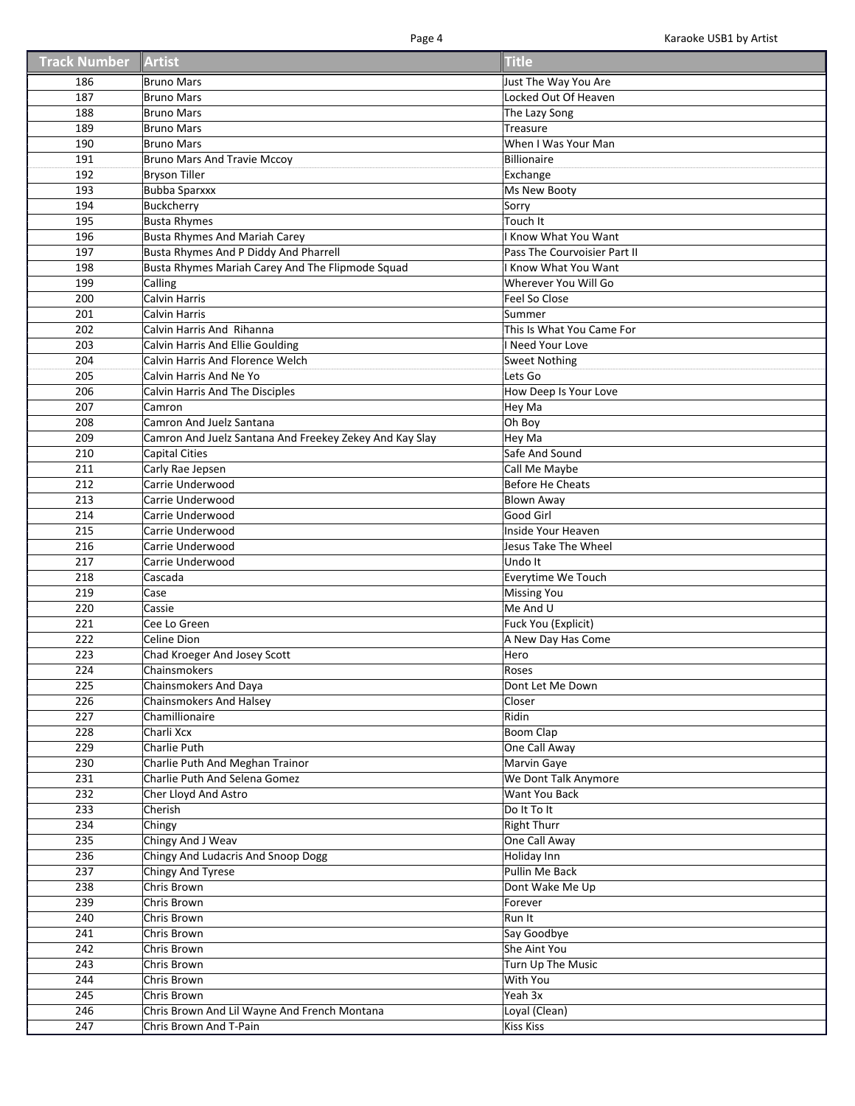| <b>Track Number</b> | Artist                                                  | <b>Title</b>                 |
|---------------------|---------------------------------------------------------|------------------------------|
| 186                 | <b>Bruno Mars</b>                                       | Just The Way You Are         |
| 187                 | <b>Bruno Mars</b>                                       | Locked Out Of Heaven         |
| 188                 | <b>Bruno Mars</b>                                       | The Lazy Song                |
| 189                 | <b>Bruno Mars</b>                                       | Treasure                     |
| 190                 | <b>Bruno Mars</b>                                       | When I Was Your Man          |
| 191                 | <b>Bruno Mars And Travie Mccoy</b>                      | Billionaire                  |
| 192                 | <b>Bryson Tiller</b>                                    | Exchange                     |
| 193                 | <b>Bubba Sparxxx</b>                                    | Ms New Booty                 |
| 194                 | <b>Buckcherry</b>                                       | Sorry                        |
| 195                 | <b>Busta Rhymes</b>                                     | Touch It                     |
| 196                 | <b>Busta Rhymes And Mariah Carey</b>                    | <b>Know What You Want</b>    |
| 197                 | Busta Rhymes And P Diddy And Pharrell                   | Pass The Courvoisier Part II |
| 198                 | Busta Rhymes Mariah Carey And The Flipmode Squad        | Know What You Want           |
| 199                 | Calling                                                 | Wherever You Will Go         |
| 200                 | <b>Calvin Harris</b>                                    | Feel So Close                |
| 201                 | Calvin Harris                                           | Summer                       |
| 202                 | Calvin Harris And Rihanna                               | This Is What You Came For    |
| 203                 | Calvin Harris And Ellie Goulding                        | Need Your Love               |
| 204                 | Calvin Harris And Florence Welch                        | <b>Sweet Nothing</b>         |
| 205                 | Calvin Harris And Ne Yo                                 | Lets Go                      |
| 206                 | <b>Calvin Harris And The Disciples</b>                  | How Deep Is Your Love        |
| 207                 | Camron                                                  | Hey Ma                       |
| 208                 | Camron And Juelz Santana                                | Oh Boy                       |
| 209                 | Camron And Juelz Santana And Freekey Zekey And Kay Slay | Hey Ma                       |
| 210                 | <b>Capital Cities</b>                                   | Safe And Sound               |
| 211                 | Carly Rae Jepsen                                        | Call Me Maybe                |
| 212                 | Carrie Underwood                                        | <b>Before He Cheats</b>      |
| 213                 | Carrie Underwood                                        | <b>Blown Away</b>            |
| 214                 | Carrie Underwood                                        | Good Girl                    |
| 215                 | Carrie Underwood                                        | Inside Your Heaven           |
| 216                 | Carrie Underwood                                        | Jesus Take The Wheel         |
| 217                 | Carrie Underwood                                        | Undo It                      |
| 218                 | Cascada                                                 | Everytime We Touch           |
| 219                 | Case                                                    | <b>Missing You</b>           |
| 220                 | Cassie                                                  | Me And U                     |
| 221                 | Cee Lo Green                                            | Fuck You (Explicit)          |
| 222                 | Celine Dion                                             | A New Day Has Come           |
| 223                 | Chad Kroeger And Josey Scott                            | Hero                         |
| 224                 | Chainsmokers                                            | Roses                        |
| 225                 | Chainsmokers And Daya                                   | Dont Let Me Down             |
| 226                 | <b>Chainsmokers And Halsey</b>                          | Closer                       |
| 227                 | Chamillionaire                                          | Ridin                        |
| 228                 | Charli Xcx                                              | <b>Boom Clap</b>             |
| 229                 | Charlie Puth                                            | One Call Away                |
| 230                 | Charlie Puth And Meghan Trainor                         | Marvin Gaye                  |
| 231                 | Charlie Puth And Selena Gomez                           | We Dont Talk Anymore         |
| 232                 | Cher Lloyd And Astro                                    | Want You Back                |
| 233                 | Cherish                                                 | Do It To It                  |
| 234                 | Chingy                                                  | <b>Right Thurr</b>           |
| 235                 | Chingy And J Weav                                       | One Call Away                |
| 236                 | Chingy And Ludacris And Snoop Dogg                      | Holiday Inn                  |
| 237                 | <b>Chingy And Tyrese</b>                                | Pullin Me Back               |
| 238                 | Chris Brown                                             | Dont Wake Me Up              |
| 239                 | Chris Brown                                             | Forever                      |
| 240                 | Chris Brown                                             | Run It                       |
| 241                 | Chris Brown                                             | Say Goodbye                  |
| 242                 | Chris Brown                                             | She Aint You                 |
| 243                 | Chris Brown                                             | Turn Up The Music            |
| 244                 | Chris Brown                                             | With You                     |
| 245                 | Chris Brown                                             | Yeah 3x                      |
| 246                 | Chris Brown And Lil Wayne And French Montana            | Loyal (Clean)                |
| 247                 | Chris Brown And T-Pain                                  | <b>Kiss Kiss</b>             |
|                     |                                                         |                              |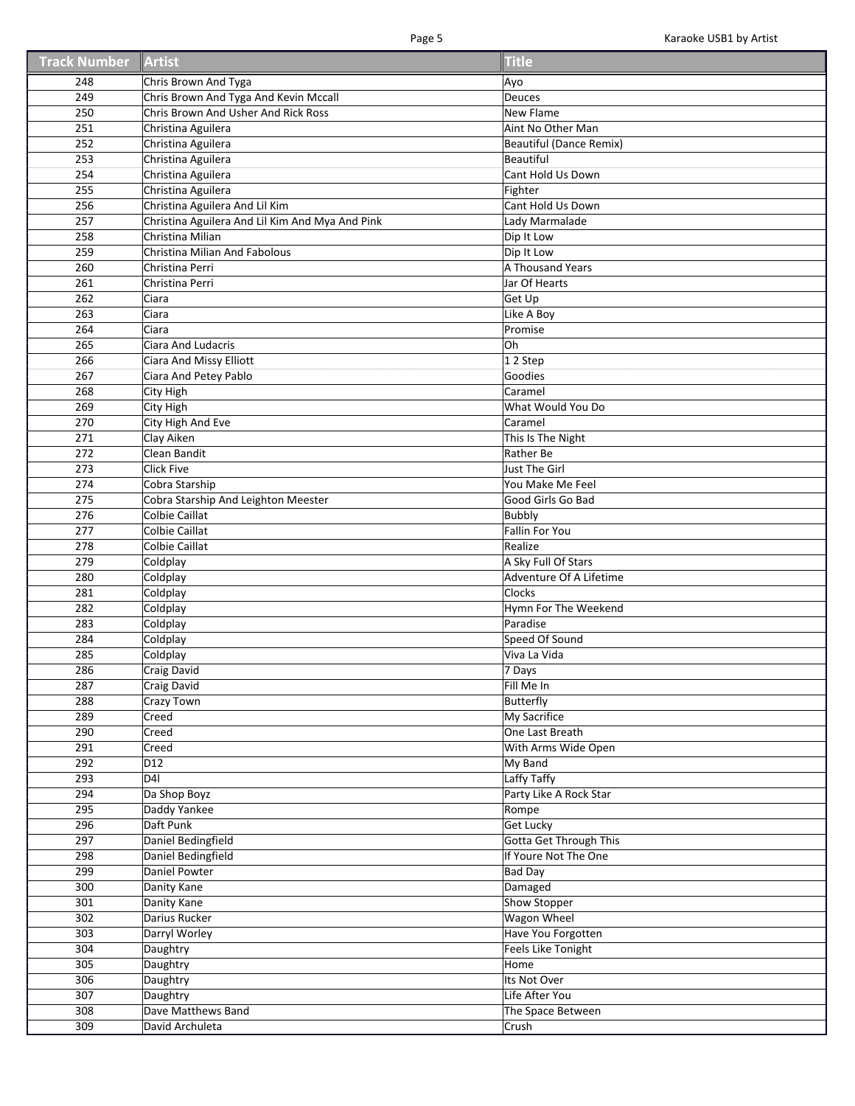| <b>Track Number</b> | Artist                                          | <b>Title</b>                  |
|---------------------|-------------------------------------------------|-------------------------------|
| 248                 | Chris Brown And Tyga                            | Ayo                           |
| 249                 | Chris Brown And Tyga And Kevin Mccall           | Deuces                        |
| 250                 | Chris Brown And Usher And Rick Ross             | New Flame                     |
| 251                 | Christina Aguilera                              | Aint No Other Man             |
| 252                 | Christina Aguilera                              | Beautiful (Dance Remix)       |
| 253                 | Christina Aguilera                              | Beautiful                     |
| 254                 | Christina Aguilera                              | Cant Hold Us Down             |
| 255                 | Christina Aguilera                              | Fighter                       |
| 256                 | Christina Aguilera And Lil Kim                  | Cant Hold Us Down             |
| 257                 | Christina Aguilera And Lil Kim And Mya And Pink |                               |
|                     |                                                 | Lady Marmalade                |
| 258                 | Christina Milian                                | Dip It Low                    |
| 259                 | Christina Milian And Fabolous                   | Dip It Low                    |
| 260                 | Christina Perri                                 | A Thousand Years              |
| 261                 | Christina Perri                                 | Jar Of Hearts                 |
| 262                 | Ciara                                           | Get Up                        |
| 263                 | Ciara                                           | Like A Boy                    |
| 264                 | Ciara                                           | Promise                       |
| 265                 | Ciara And Ludacris                              | <b>Oh</b>                     |
| 266                 | Ciara And Missy Elliott                         | 12 Step                       |
| 267                 | Ciara And Petey Pablo                           | Goodies                       |
| 268                 | City High                                       | Caramel                       |
| 269                 | City High                                       | What Would You Do             |
| 270                 | City High And Eve                               | Caramel                       |
| 271                 | Clay Aiken                                      | This Is The Night             |
| 272                 | Clean Bandit                                    | Rather Be                     |
| 273                 | <b>Click Five</b>                               | Just The Girl                 |
| 274                 | Cobra Starship                                  | You Make Me Feel              |
| 275                 | Cobra Starship And Leighton Meester             | Good Girls Go Bad             |
| 276                 | Colbie Caillat                                  | <b>Bubbly</b>                 |
| 277                 | <b>Colbie Caillat</b>                           | <b>Fallin For You</b>         |
| 278                 | Colbie Caillat                                  | Realize                       |
| 279                 | Coldplay                                        | A Sky Full Of Stars           |
| 280                 | Coldplay                                        | Adventure Of A Lifetime       |
| 281                 | Coldplay                                        | <b>Clocks</b>                 |
| 282                 | Coldplay                                        | Hymn For The Weekend          |
| 283                 | Coldplay                                        | Paradise                      |
| 284                 | Coldplay                                        | Speed Of Sound                |
| 285                 | Coldplay                                        | Viva La Vida                  |
| 286                 | Craig David                                     | 7 Days                        |
| 287                 | Craig David                                     | Fill Me In                    |
| 288                 | Crazy Town                                      | Butterfly                     |
| 289                 | Creed                                           | My Sacrifice                  |
| 290                 | Creed                                           | One Last Breath               |
| 291                 | Creed                                           | With Arms Wide Open           |
| 292                 | D <sub>12</sub>                                 | My Band                       |
| 293                 | D <sub>4</sub>                                  | Laffy Taffy                   |
| 294                 | Da Shop Boyz                                    | Party Like A Rock Star        |
|                     |                                                 |                               |
| 295                 | Daddy Yankee                                    | Rompe                         |
| 296                 | Daft Punk                                       | Get Lucky                     |
| 297                 | Daniel Bedingfield                              | <b>Gotta Get Through This</b> |
| 298                 | Daniel Bedingfield                              | If Youre Not The One          |
| 299                 | <b>Daniel Powter</b>                            | <b>Bad Day</b>                |
| 300                 | Danity Kane                                     | Damaged                       |
| 301                 | Danity Kane                                     | Show Stopper                  |
| 302                 | Darius Rucker                                   | Wagon Wheel                   |
| 303                 | Darryl Worley                                   | Have You Forgotten            |
| 304                 | Daughtry                                        | Feels Like Tonight            |
| 305                 | Daughtry                                        | Home                          |
| 306                 | Daughtry                                        | Its Not Over                  |
| 307                 | Daughtry                                        | Life After You                |
| 308                 | Dave Matthews Band                              | The Space Between             |
| 309                 | David Archuleta                                 | Crush                         |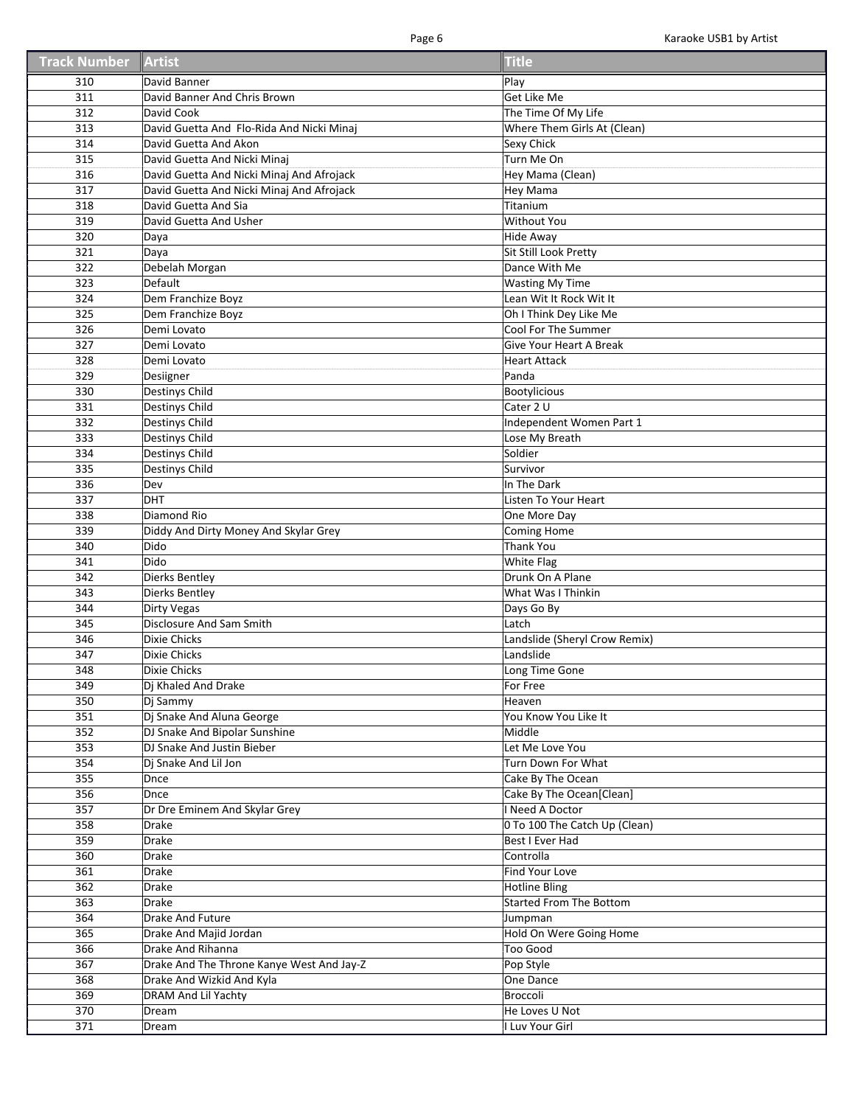| <b>Track Number</b> | Artist                                    | <b>Title</b>                        |
|---------------------|-------------------------------------------|-------------------------------------|
| 310                 | David Banner                              | Play                                |
| 311                 | David Banner And Chris Brown              | Get Like Me                         |
| 312                 | David Cook                                | The Time Of My Life                 |
| 313                 | David Guetta And Flo-Rida And Nicki Minaj | Where Them Girls At (Clean)         |
| 314                 | David Guetta And Akon                     | <b>Sexy Chick</b>                   |
| 315                 | David Guetta And Nicki Minaj              | Turn Me On                          |
| 316                 | David Guetta And Nicki Minaj And Afrojack | Hey Mama (Clean)                    |
| 317                 | David Guetta And Nicki Minaj And Afrojack | <b>Hey Mama</b>                     |
| 318                 | David Guetta And Sia                      | Titanium                            |
| 319                 | David Guetta And Usher                    | <b>Without You</b>                  |
| 320                 | Daya                                      | <b>Hide Away</b>                    |
| 321                 | Daya                                      | Sit Still Look Pretty               |
| 322                 | Debelah Morgan                            | Dance With Me                       |
| 323                 | Default                                   | <b>Wasting My Time</b>              |
| 324                 | Dem Franchize Boyz                        | Lean Wit It Rock Wit It             |
| 325                 | Dem Franchize Boyz                        | Oh I Think Dey Like Me              |
| 326                 | Demi Lovato                               | Cool For The Summer                 |
| 327                 | Demi Lovato                               | Give Your Heart A Break             |
| 328                 | Demi Lovato                               | <b>Heart Attack</b>                 |
| 329                 | Desiigner                                 | Panda                               |
| 330                 | <b>Destinys Child</b>                     | <b>Bootylicious</b>                 |
| 331                 | <b>Destinys Child</b>                     | Cater 2 U                           |
| 332                 | <b>Destinys Child</b>                     | Independent Women Part 1            |
| 333                 | <b>Destinys Child</b>                     | Lose My Breath                      |
| 334                 | <b>Destinys Child</b>                     | Soldier                             |
| 335                 | <b>Destinys Child</b>                     | Survivor                            |
| 336<br>337          | Dev<br>DHT                                | In The Dark<br>Listen To Your Heart |
|                     | Diamond Rio                               |                                     |
| 338<br>339          | Diddy And Dirty Money And Skylar Grey     | One More Day                        |
| 340                 | Dido                                      | Coming Home<br><b>Thank You</b>     |
| 341                 | Dido                                      | <b>White Flag</b>                   |
| 342                 | Dierks Bentley                            | Drunk On A Plane                    |
| 343                 | <b>Dierks Bentley</b>                     | What Was I Thinkin                  |
| 344                 | <b>Dirty Vegas</b>                        | Days Go By                          |
| 345                 | Disclosure And Sam Smith                  | Latch                               |
| 346                 | Dixie Chicks                              | Landslide (Sheryl Crow Remix)       |
| 347                 | Dixie Chicks                              | Landslide                           |
| 348                 | Dixie Chicks                              | Long Time Gone                      |
| 349                 | Dj Khaled And Drake                       | For Free                            |
| 350                 | Dj Sammy                                  | Heaven                              |
| 351                 | Dj Snake And Aluna George                 | You Know You Like It                |
| 352                 | DJ Snake And Bipolar Sunshine             | Middle                              |
| 353                 | DJ Snake And Justin Bieber                | Let Me Love You                     |
| 354                 | Dj Snake And Lil Jon                      | Turn Down For What                  |
| 355                 | Dnce                                      | Cake By The Ocean                   |
| 356                 | Dnce                                      | Cake By The Ocean[Clean]            |
| 357                 | Dr Dre Eminem And Skylar Grey             | I Need A Doctor                     |
| 358                 | <b>Drake</b>                              | 0 To 100 The Catch Up (Clean)       |
| 359                 | <b>Drake</b>                              | Best I Ever Had                     |
| 360                 | Drake                                     | Controlla                           |
| 361                 | Drake                                     | Find Your Love                      |
| 362                 | Drake                                     | <b>Hotline Bling</b>                |
| 363                 | Drake                                     | <b>Started From The Bottom</b>      |
| 364                 | Drake And Future                          | Jumpman                             |
| 365                 | Drake And Majid Jordan                    | Hold On Were Going Home             |
| 366                 | Drake And Rihanna                         | <b>Too Good</b>                     |
| 367                 | Drake And The Throne Kanye West And Jay-Z | Pop Style                           |
| 368                 | Drake And Wizkid And Kyla                 | One Dance                           |
| 369                 | DRAM And Lil Yachty                       | Broccoli                            |
| 370                 | Dream                                     | He Loves U Not                      |
| 371                 | Dream                                     | I Luv Your Girl                     |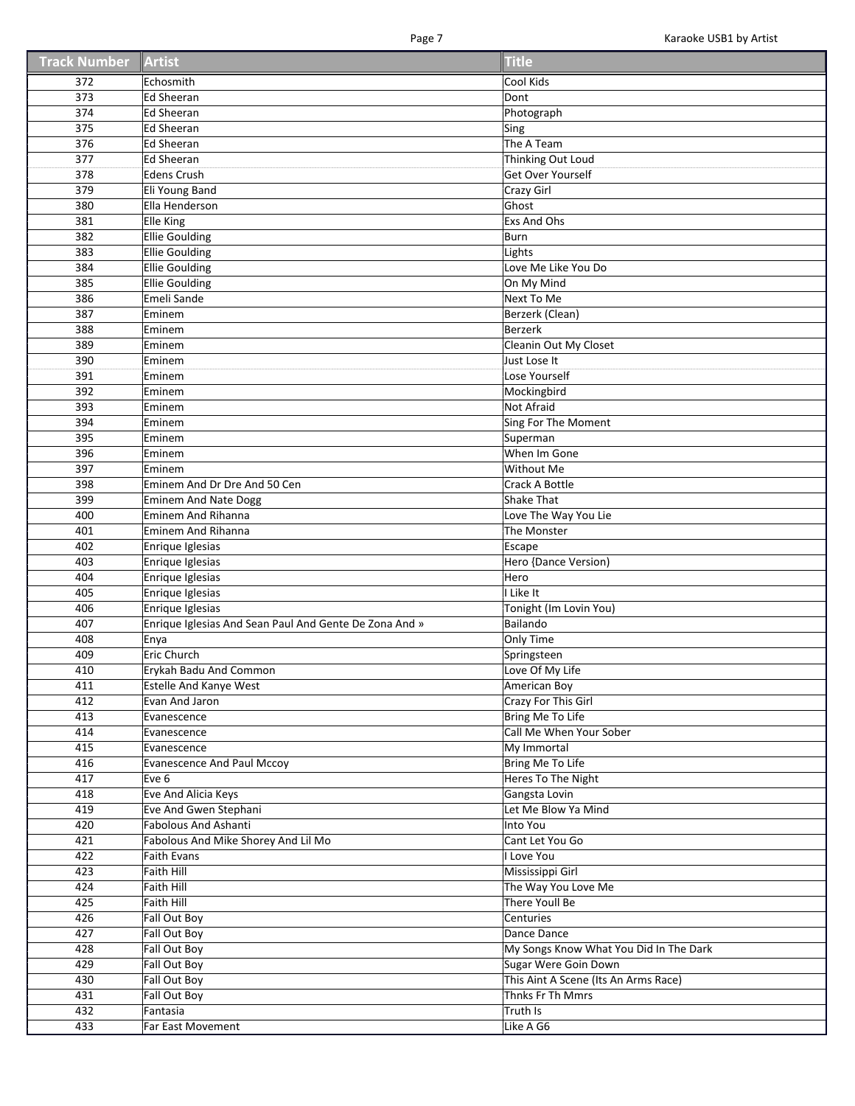| <b>Track Number Artist</b> |                                                        | <b>Title</b>                           |
|----------------------------|--------------------------------------------------------|----------------------------------------|
| 372                        | Echosmith                                              | Cool Kids                              |
| 373                        | <b>Ed Sheeran</b>                                      | Dont                                   |
| 374                        | Ed Sheeran                                             | Photograph                             |
| 375                        | <b>Ed Sheeran</b>                                      | Sing                                   |
| 376                        | Ed Sheeran                                             | The A Team                             |
| $\overline{377}$           | Ed Sheeran                                             | Thinking Out Loud                      |
| 378                        | <b>Edens Crush</b>                                     | Get Over Yourself                      |
| 379                        | Eli Young Band                                         | Crazy Girl                             |
| 380                        | Ella Henderson                                         | Ghost                                  |
| 381                        | Elle King                                              | Exs And Ohs                            |
| 382                        | <b>Ellie Goulding</b>                                  | <b>Burn</b>                            |
| 383                        | <b>Ellie Goulding</b>                                  | Lights                                 |
| 384                        | <b>Ellie Goulding</b>                                  | Love Me Like You Do                    |
| 385                        | <b>Ellie Goulding</b>                                  | On My Mind                             |
| 386                        | Emeli Sande                                            | <b>Next To Me</b>                      |
| 387                        | Eminem                                                 | Berzerk (Clean)                        |
| 388                        | Eminem                                                 | <b>Berzerk</b>                         |
| 389                        | Eminem                                                 | Cleanin Out My Closet                  |
| 390                        | Eminem                                                 | Just Lose It                           |
| 391                        | Eminem                                                 | Lose Yourself                          |
| 392                        | Eminem                                                 | Mockingbird                            |
| 393                        | Eminem                                                 | Not Afraid                             |
| 394                        | Eminem                                                 | Sing For The Moment                    |
| 395                        | Eminem                                                 |                                        |
|                            |                                                        | Superman                               |
| 396                        | Eminem                                                 | When Im Gone                           |
| 397                        | Eminem                                                 | Without Me                             |
| 398                        | Eminem And Dr Dre And 50 Cen                           | Crack A Bottle                         |
| 399                        | <b>Eminem And Nate Dogg</b>                            | <b>Shake That</b>                      |
| 400                        | <b>Eminem And Rihanna</b>                              | Love The Way You Lie                   |
| 401                        | Eminem And Rihanna                                     | The Monster                            |
| 402                        | Enrique Iglesias                                       | Escape                                 |
| 403                        | Enrique Iglesias                                       | Hero {Dance Version)                   |
| 404                        | Enrique Iglesias                                       | Hero                                   |
| 405                        | Enrique Iglesias                                       | I Like It                              |
| 406                        | Enrique Iglesias                                       | Tonight (Im Lovin You)                 |
| 407                        | Enrique Iglesias And Sean Paul And Gente De Zona And » | Bailando                               |
| 408                        | Enya                                                   | Only Time                              |
| 409                        | Eric Church                                            | Springsteen                            |
| 410                        | Erykah Badu And Common                                 | Love Of My Life                        |
| 411                        | Estelle And Kanye West                                 | American Boy                           |
| 412                        | Evan And Jaron                                         | Crazy For This Girl                    |
| 413                        | Evanescence                                            | Bring Me To Life                       |
| 414                        | Evanescence                                            | Call Me When Your Sober                |
| 415                        | Evanescence                                            | My Immortal                            |
| 416                        | <b>Evanescence And Paul Mccoy</b>                      | Bring Me To Life                       |
| 417                        | Eve 6                                                  | Heres To The Night                     |
| 418                        | Eve And Alicia Keys                                    | Gangsta Lovin                          |
| 419                        | Eve And Gwen Stephani                                  | Let Me Blow Ya Mind                    |
| 420                        | <b>Fabolous And Ashanti</b>                            | Into You                               |
| 421                        | Fabolous And Mike Shorey And Lil Mo                    | Cant Let You Go                        |
| 422                        | <b>Faith Evans</b>                                     | I Love You                             |
| 423                        | Faith Hill                                             | Mississippi Girl                       |
| 424                        | Faith Hill                                             | The Way You Love Me                    |
| 425                        | Faith Hill                                             | There Youll Be                         |
| 426                        | Fall Out Boy                                           | Centuries                              |
| 427                        | Fall Out Boy                                           | Dance Dance                            |
| 428                        | Fall Out Boy                                           | My Songs Know What You Did In The Dark |
| 429                        | Fall Out Boy                                           | Sugar Were Goin Down                   |
| 430                        | Fall Out Boy                                           | This Aint A Scene (Its An Arms Race)   |
| 431                        | Fall Out Boy                                           | Thnks Fr Th Mmrs                       |
| 432                        | Fantasia                                               | Truth Is                               |
| 433                        | Far East Movement                                      | Like A G6                              |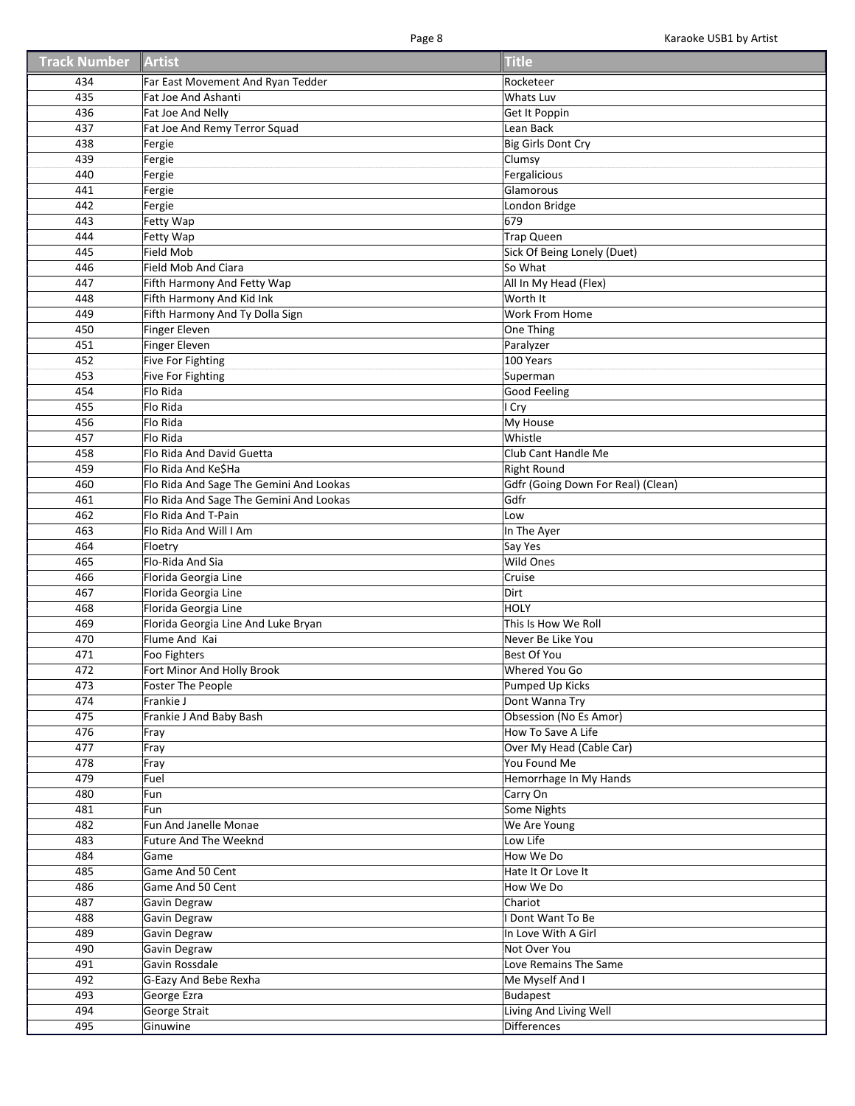| <b>Track Number</b> | Artist                                  | <b>Title</b>                       |
|---------------------|-----------------------------------------|------------------------------------|
| 434                 | Far East Movement And Ryan Tedder       | Rocketeer                          |
| 435                 | Fat Joe And Ashanti                     | Whats Luv                          |
| 436                 | Fat Joe And Nelly                       | Get It Poppin                      |
| 437                 | Fat Joe And Remy Terror Squad           | Lean Back                          |
| 438                 | Fergie                                  | Big Girls Dont Cry                 |
| 439                 | Fergie                                  | Clumsy                             |
| 440                 | Fergie                                  | Fergalicious                       |
| 441                 | Fergie                                  | Glamorous                          |
| 442                 | Fergie                                  | London Bridge                      |
| 443                 | Fetty Wap                               | 679                                |
| 444                 | Fetty Wap                               | Trap Queen                         |
| 445                 | Field Mob                               | Sick Of Being Lonely (Duet)        |
| 446                 | Field Mob And Ciara                     | So What                            |
| 447                 | Fifth Harmony And Fetty Wap             | All In My Head (Flex)              |
| 448                 | Fifth Harmony And Kid Ink               | Worth It                           |
| 449                 | Fifth Harmony And Ty Dolla Sign         | Work From Home                     |
| 450                 | <b>Finger Eleven</b>                    | One Thing                          |
| 451                 | <b>Finger Eleven</b>                    | Paralyzer                          |
| 452                 | Five For Fighting                       | 100 Years                          |
| 453                 | Five For Fighting                       | Superman                           |
| 454                 | Flo Rida                                | Good Feeling                       |
| 455                 | Flo Rida                                | I Cry                              |
| 456                 | Flo Rida                                | My House                           |
| 457                 | Flo Rida                                | Whistle                            |
| 458                 | Flo Rida And David Guetta               | Club Cant Handle Me                |
| 459                 | Flo Rida And Ke\$Ha                     | <b>Right Round</b>                 |
| 460                 | Flo Rida And Sage The Gemini And Lookas | Gdfr (Going Down For Real) (Clean) |
| 461                 | Flo Rida And Sage The Gemini And Lookas | Gdfr                               |
| 462                 | Flo Rida And T-Pain                     | Low                                |
| 463                 | Flo Rida And Will I Am                  | In The Ayer                        |
| 464                 | Floetry                                 | Say Yes                            |
| 465                 | Flo-Rida And Sia                        | Wild Ones                          |
| 466                 | Florida Georgia Line                    | Cruise                             |
| 467                 | Florida Georgia Line                    | Dirt                               |
| 468                 | Florida Georgia Line                    | HOLY                               |
| 469                 | Florida Georgia Line And Luke Bryan     | This Is How We Roll                |
| 470                 | Flume And Kai                           | Never Be Like You                  |
| 471                 | Foo Fighters                            | <b>Best Of You</b>                 |
| 472                 | Fort Minor And Holly Brook              | Whered You Go                      |
| 473                 | Foster The People                       | Pumped Up Kicks                    |
| 474                 | Frankie J                               | Dont Wanna Try                     |
| 475                 | Frankie J And Baby Bash                 | Obsession (No Es Amor)             |
| 476                 | Fray                                    | How To Save A Life                 |
| 477                 | Fray                                    | Over My Head (Cable Car)           |
| 478                 | Fray                                    | You Found Me                       |
| 479                 | Fuel                                    | Hemorrhage In My Hands             |
| 480                 | Fun                                     | Carry On                           |
| 481                 | Fun                                     | Some Nights                        |
| 482                 | Fun And Janelle Monae                   | We Are Young                       |
| 483                 | <b>Future And The Weeknd</b>            | Low Life                           |
| 484                 | Game                                    | How We Do                          |
| 485                 | Game And 50 Cent                        | Hate It Or Love It                 |
| 486                 | Game And 50 Cent                        | How We Do                          |
| 487                 | Gavin Degraw                            | Chariot                            |
| 488                 | Gavin Degraw                            | I Dont Want To Be                  |
| 489                 | Gavin Degraw                            | In Love With A Girl                |
| 490                 | Gavin Degraw                            | Not Over You                       |
| 491                 | Gavin Rossdale                          | Love Remains The Same              |
| 492                 | G-Eazy And Bebe Rexha                   | Me Myself And I                    |
| 493                 | George Ezra                             | <b>Budapest</b>                    |
| 494                 | George Strait                           | Living And Living Well             |
| 495                 | Ginuwine                                | Differences                        |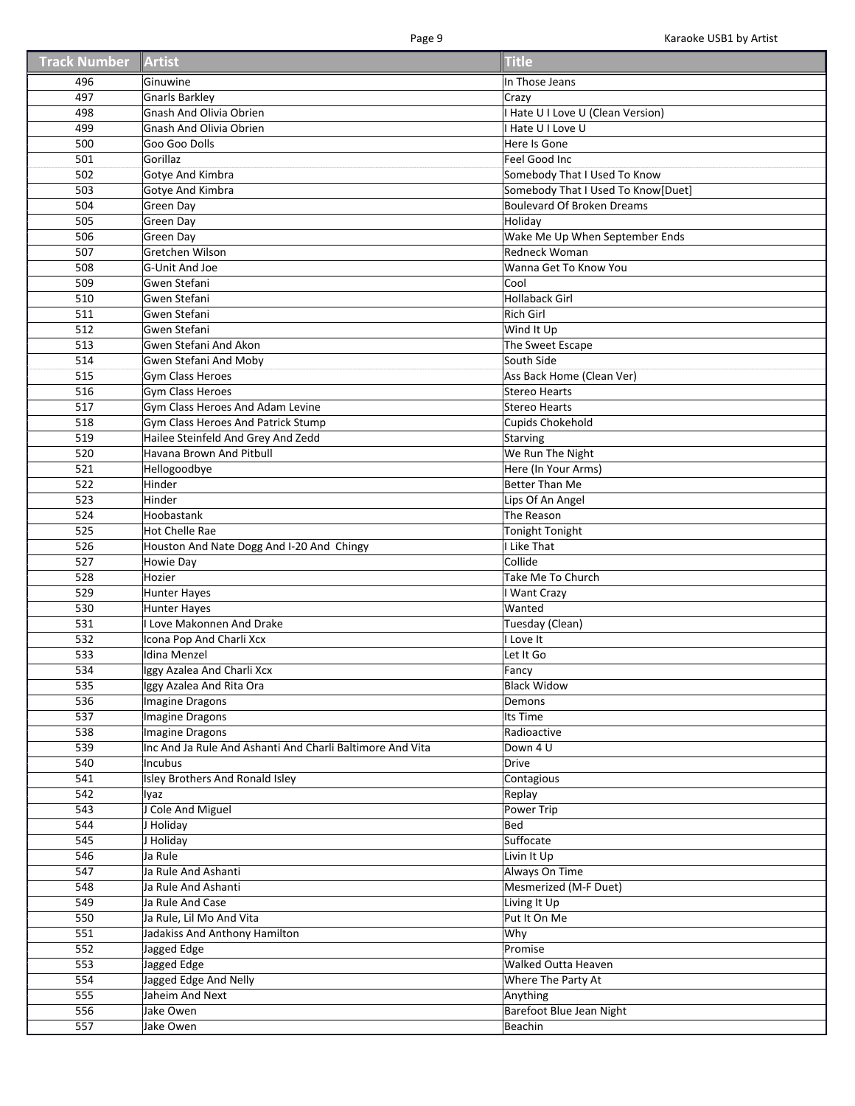| <b>Track Number Artist</b> |                                                           | <b>Title</b>                       |
|----------------------------|-----------------------------------------------------------|------------------------------------|
| 496                        | Ginuwine                                                  | In Those Jeans                     |
| 497                        | <b>Gnarls Barkley</b>                                     | Crazy                              |
| 498                        | Gnash And Olivia Obrien                                   | Hate U I Love U (Clean Version)    |
| 499                        | <b>Gnash And Olivia Obrien</b>                            | <b>Hate UI Love U</b>              |
| 500                        | Goo Goo Dolls                                             | Here Is Gone                       |
| 501                        | Gorillaz                                                  | Feel Good Inc                      |
| 502                        | Gotye And Kimbra                                          | Somebody That I Used To Know       |
| 503                        | Gotye And Kimbra                                          | Somebody That I Used To Know[Duet] |
| 504                        | Green Day                                                 | Boulevard Of Broken Dreams         |
| 505                        | <b>Green Day</b>                                          | Holiday                            |
| 506                        | Green Day                                                 | Wake Me Up When September Ends     |
| 507                        | <b>Gretchen Wilson</b>                                    | Redneck Woman                      |
| 508                        | G-Unit And Joe                                            | Wanna Get To Know You              |
|                            |                                                           | Cool                               |
| 509                        | Gwen Stefani                                              |                                    |
| 510                        | Gwen Stefani                                              | <b>Hollaback Girl</b>              |
| 511                        | Gwen Stefani                                              | <b>Rich Girl</b>                   |
| 512                        | Gwen Stefani                                              | Wind It Up                         |
| 513                        | Gwen Stefani And Akon                                     | The Sweet Escape                   |
| 514                        | Gwen Stefani And Moby                                     | South Side                         |
| 515                        | Gym Class Heroes                                          | Ass Back Home (Clean Ver)          |
| 516                        | Gym Class Heroes                                          | <b>Stereo Hearts</b>               |
| 517                        | Gym Class Heroes And Adam Levine                          | <b>Stereo Hearts</b>               |
| 518                        | <b>Gym Class Heroes And Patrick Stump</b>                 | Cupids Chokehold                   |
| 519                        | Hailee Steinfeld And Grey And Zedd                        | Starving                           |
| 520                        | Havana Brown And Pitbull                                  | We Run The Night                   |
| 521                        | Hellogoodbye                                              | Here (In Your Arms)                |
| 522                        | Hinder                                                    | Better Than Me                     |
| 523                        | Hinder                                                    | Lips Of An Angel                   |
| 524                        | Hoobastank                                                | The Reason                         |
| 525                        | Hot Chelle Rae                                            | Tonight Tonight                    |
| 526                        | Houston And Nate Dogg And I-20 And Chingy                 | I Like That                        |
| 527                        | <b>Howie Day</b>                                          | Collide                            |
| 528                        | Hozier                                                    | Take Me To Church                  |
| 529                        | Hunter Hayes                                              | I Want Crazy                       |
| 530                        | <b>Hunter Hayes</b>                                       | Wanted                             |
| 531                        | I Love Makonnen And Drake                                 | Tuesday (Clean)                    |
| 532                        | Icona Pop And Charli Xcx                                  | I Love It                          |
| 533                        | Idina Menzel                                              | Let It Go                          |
| 534                        | Iggy Azalea And Charli Xcx                                | Fancy                              |
| 535                        | Iggy Azalea And Rita Ora                                  | <b>Black Widow</b>                 |
| 536                        | Imagine Dragons                                           | Demons                             |
| 537                        | Imagine Dragons                                           | Its Time                           |
| 538                        | Imagine Dragons                                           | Radioactive                        |
| 539                        | Inc And Ja Rule And Ashanti And Charli Baltimore And Vita | Down 4 U                           |
| 540                        | Incubus                                                   | Drive                              |
| 541                        | Isley Brothers And Ronald Isley                           | Contagious                         |
| 542                        | lyaz                                                      | Replay                             |
| 543                        | <b>Cole And Miguel</b>                                    | Power Trip                         |
| 544                        | J Holiday                                                 | Bed                                |
| 545                        | J Holiday                                                 | Suffocate                          |
| 546                        | Ja Rule                                                   | Livin It Up                        |
| 547                        | Ja Rule And Ashanti                                       | Always On Time                     |
| 548                        | Ja Rule And Ashanti                                       | Mesmerized (M-F Duet)              |
| 549                        | Ja Rule And Case                                          | Living It Up                       |
| 550                        | Ja Rule, Lil Mo And Vita                                  | Put It On Me                       |
| 551                        | Jadakiss And Anthony Hamilton                             | Why                                |
| 552                        | Jagged Edge                                               | Promise                            |
| 553                        | Jagged Edge                                               | <b>Walked Outta Heaven</b>         |
| 554                        | Jagged Edge And Nelly                                     | Where The Party At                 |
| 555                        | Jaheim And Next                                           | Anything                           |
| 556                        | Jake Owen                                                 | Barefoot Blue Jean Night           |
|                            |                                                           |                                    |
| 557                        | Jake Owen                                                 | Beachin                            |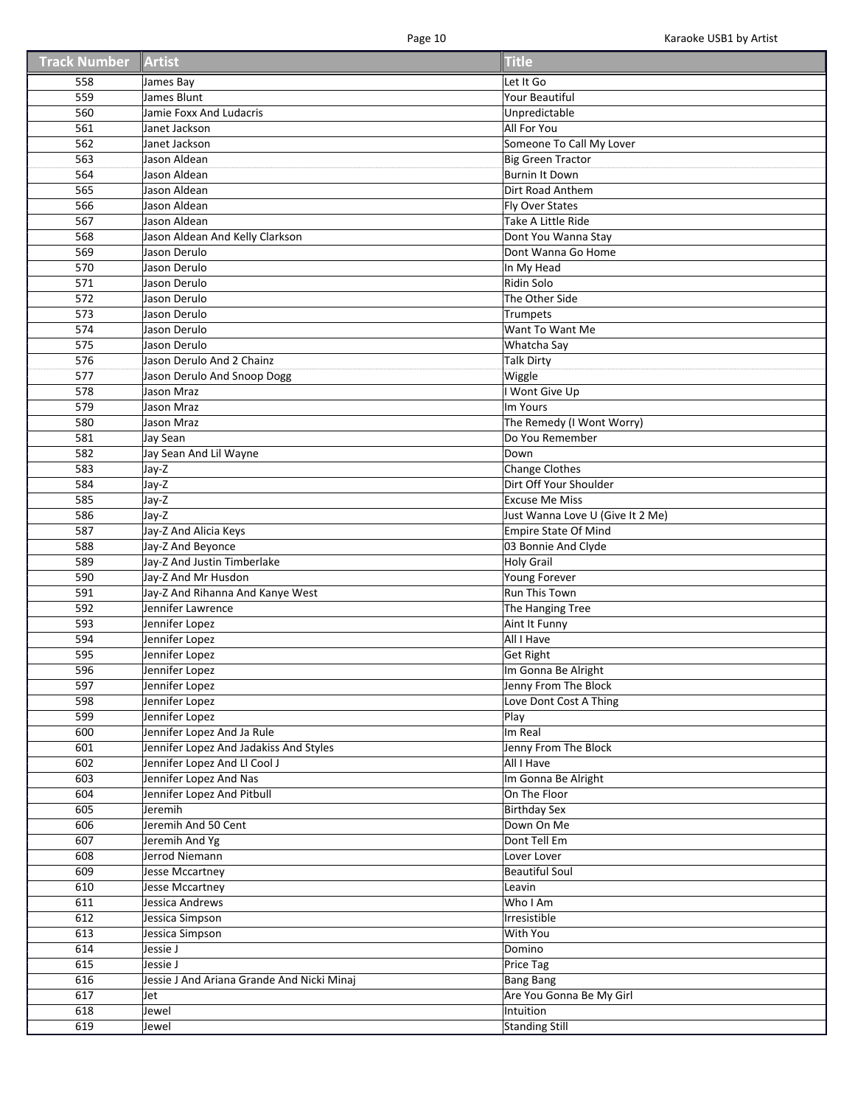| <b>Track Number Artist</b> |                                            | <b>Title</b>                     |
|----------------------------|--------------------------------------------|----------------------------------|
| 558                        | James Bay                                  | Let It Go                        |
| 559                        | James Blunt                                | Your Beautiful                   |
| 560                        | Jamie Foxx And Ludacris                    | Unpredictable                    |
| 561                        | Janet Jackson                              | All For You                      |
| 562                        | Janet Jackson                              | Someone To Call My Lover         |
| 563                        | Jason Aldean                               | <b>Big Green Tractor</b>         |
| 564                        | Jason Aldean                               | <b>Burnin It Down</b>            |
| 565                        | Jason Aldean                               | Dirt Road Anthem                 |
| 566                        | Jason Aldean                               | Fly Over States                  |
| 567                        | Jason Aldean                               | Take A Little Ride               |
| 568                        | Jason Aldean And Kelly Clarkson            | Dont You Wanna Stay              |
| 569                        | Jason Derulo                               | Dont Wanna Go Home               |
| 570                        | Jason Derulo                               | In My Head                       |
| 571                        | Jason Derulo                               | Ridin Solo                       |
| 572                        | Jason Derulo                               | The Other Side                   |
| 573                        | Jason Derulo                               | Trumpets                         |
| 574                        | Jason Derulo                               | Want To Want Me                  |
| 575                        | Jason Derulo                               | Whatcha Say                      |
| 576                        | Jason Derulo And 2 Chainz                  | <b>Talk Dirty</b>                |
| 577                        | Jason Derulo And Snoop Dogg                | Wiggle                           |
| 578                        | Jason Mraz                                 | Wont Give Up                     |
| 579                        | Jason Mraz                                 | Im Yours                         |
| 580                        | Jason Mraz                                 | The Remedy (I Wont Worry)        |
| 581                        | Jay Sean                                   | Do You Remember                  |
| 582                        | Jay Sean And Lil Wayne                     | Down                             |
| 583                        | Jay-Z                                      | Change Clothes                   |
| 584                        | Jay-Z                                      | Dirt Off Your Shoulder           |
| 585                        | Jay-Z                                      | <b>Excuse Me Miss</b>            |
| 586                        | Jay-Z                                      | Just Wanna Love U (Give It 2 Me) |
| 587                        | Jay-Z And Alicia Keys                      | Empire State Of Mind             |
| 588                        | Jay-Z And Beyonce                          | 03 Bonnie And Clyde              |
| 589                        | Jay-Z And Justin Timberlake                | <b>Holy Grail</b>                |
| 590                        | Jay-Z And Mr Husdon                        | Young Forever                    |
| 591                        | Jay-Z And Rihanna And Kanye West           | Run This Town                    |
| 592                        | Jennifer Lawrence                          | The Hanging Tree                 |
| 593                        | Jennifer Lopez                             | Aint It Funny                    |
| 594                        | Jennifer Lopez                             | All I Have                       |
| 595                        | Jennifer Lopez                             | <b>Get Right</b>                 |
| 596                        | Jennifer Lopez                             | Im Gonna Be Alright              |
| 597                        | Jennifer Lopez                             | Jenny From The Block             |
| 598                        | Jennifer Lopez                             | Love Dont Cost A Thing           |
| 599                        | Jennifer Lopez                             | Play                             |
| 600                        | Jennifer Lopez And Ja Rule                 | Im Real                          |
| 601                        | Jennifer Lopez And Jadakiss And Styles     | Jenny From The Block             |
| 602                        | Jennifer Lopez And Ll Cool J               | All I Have                       |
| 603                        | Jennifer Lopez And Nas                     | Im Gonna Be Alright              |
| 604                        | Jennifer Lopez And Pitbull                 | On The Floor                     |
| 605                        | Jeremih                                    | <b>Birthday Sex</b>              |
| 606                        | Jeremih And 50 Cent                        | Down On Me                       |
| 607                        | Jeremih And Yg                             | Dont Tell Em                     |
| 608                        | Jerrod Niemann                             | Lover Lover                      |
| 609                        | Jesse Mccartney                            | <b>Beautiful Soul</b>            |
| 610                        | Jesse Mccartney                            | Leavin                           |
| 611                        | Jessica Andrews                            | Who I Am                         |
| 612                        | Jessica Simpson                            | Irresistible                     |
| 613                        | Jessica Simpson                            | With You                         |
| 614                        | Jessie J                                   | Domino                           |
| 615                        | Jessie J                                   | Price Tag                        |
| 616                        | Jessie J And Ariana Grande And Nicki Minaj | <b>Bang Bang</b>                 |
| 617                        | Jet                                        | Are You Gonna Be My Girl         |
| 618                        | Jewel                                      | Intuition                        |
| 619                        | Jewel                                      | <b>Standing Still</b>            |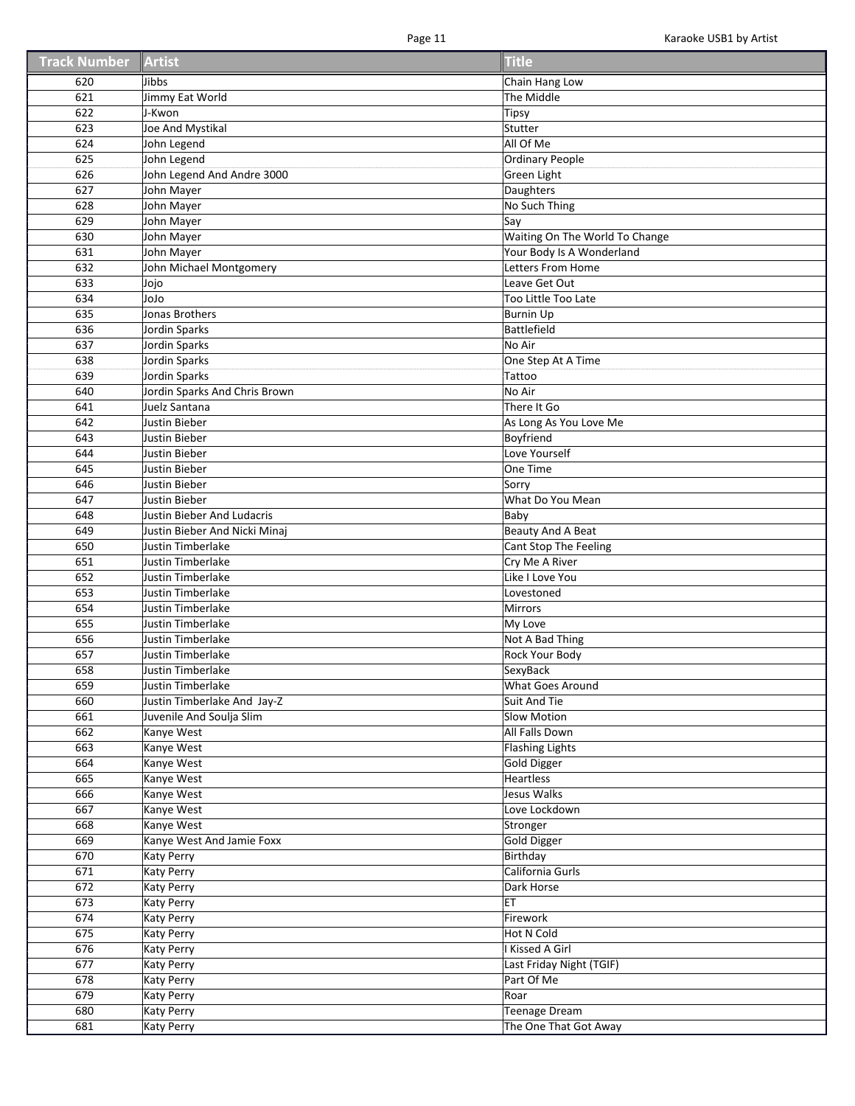| Track Number Artist |                                               | <b>Title</b>                   |
|---------------------|-----------------------------------------------|--------------------------------|
| 620                 | Jibbs                                         | Chain Hang Low                 |
| 621                 | Jimmy Eat World                               | The Middle                     |
| 622                 | J-Kwon                                        | <b>Tipsy</b>                   |
| 623                 | Joe And Mystikal                              | Stutter                        |
| 624                 | John Legend                                   | All Of Me                      |
| 625                 | John Legend                                   | <b>Ordinary People</b>         |
| 626                 | John Legend And Andre 3000                    | Green Light                    |
| 627                 | John Mayer                                    | Daughters                      |
| 628                 | John Mayer                                    | No Such Thing                  |
| 629                 | John Mayer                                    | Say                            |
| 630                 | John Mayer                                    | Waiting On The World To Change |
| 631                 | John Mayer                                    | Your Body Is A Wonderland      |
| 632                 | John Michael Montgomery                       | Letters From Home              |
| 633                 | Jojo                                          | Leave Get Out                  |
| 634                 | olol                                          | Too Little Too Late            |
| 635                 | Jonas Brothers                                | <b>Burnin Up</b>               |
| 636                 | Jordin Sparks                                 | <b>Battlefield</b>             |
| 637                 | Jordin Sparks                                 | No Air                         |
| 638                 | Jordin Sparks                                 | One Step At A Time             |
| 639                 | Jordin Sparks                                 | Tattoo                         |
| 640                 | Jordin Sparks And Chris Brown                 | No Air                         |
| 641                 | Juelz Santana                                 | There It Go                    |
| 642                 | Justin Bieber                                 | As Long As You Love Me         |
| 643                 | Justin Bieber                                 | Boyfriend                      |
|                     |                                               | Love Yourself                  |
| 644<br>645          | Justin Bieber                                 | One Time                       |
|                     | Justin Bieber                                 |                                |
| 646<br>647          | Justin Bieber                                 | Sorry                          |
|                     | Justin Bieber                                 | What Do You Mean               |
| 648                 | Justin Bieber And Ludacris                    | Baby                           |
| 649                 | Justin Bieber And Nicki Minaj                 | Beauty And A Beat              |
| 650                 | Justin Timberlake                             | Cant Stop The Feeling          |
| 651                 | Justin Timberlake                             | Cry Me A River                 |
| 652                 | Justin Timberlake                             | Like I Love You                |
| 653<br>654          | Justin Timberlake                             | Lovestoned                     |
| 655                 | Justin Timberlake<br><b>Justin Timberlake</b> | Mirrors                        |
|                     | <b>Justin Timberlake</b>                      | My Love<br>Not A Bad Thing     |
| 656                 |                                               | Rock Your Body                 |
| 657                 | Justin Timberlake                             |                                |
| 658                 | Justin Timberlake                             | SexyBack                       |
| 659                 | Justin Timberlake                             | What Goes Around               |
| 660                 | Justin Timberlake And Jay-Z                   | <b>Suit And Tie</b>            |
| 661                 | Juvenile And Soulja Slim                      | Slow Motion                    |
| 662                 | Kanye West                                    | All Falls Down                 |
| 663                 | Kanye West                                    | <b>Flashing Lights</b>         |
| 664                 | Kanye West                                    | <b>Gold Digger</b>             |
| 665                 | Kanye West                                    | <b>Heartless</b>               |
| 666                 | Kanye West                                    | Jesus Walks                    |
| 667                 | Kanye West                                    | Love Lockdown                  |
| 668                 | Kanye West                                    | Stronger                       |
| 669                 | Kanye West And Jamie Foxx                     | <b>Gold Digger</b>             |
| 670                 | <b>Katy Perry</b>                             | Birthday                       |
| 671                 | <b>Katy Perry</b>                             | California Gurls               |
| 672                 | <b>Katy Perry</b>                             | Dark Horse                     |
| 673                 | Katy Perry                                    | ET                             |
| 674                 | <b>Katy Perry</b>                             | Firework                       |
| 675                 | <b>Katy Perry</b>                             | Hot N Cold                     |
| 676                 | <b>Katy Perry</b>                             | I Kissed A Girl                |
| 677                 | <b>Katy Perry</b>                             | Last Friday Night (TGIF)       |
| 678                 | <b>Katy Perry</b>                             | Part Of Me                     |
| 679                 | <b>Katy Perry</b>                             | Roar                           |
| 680                 | Katy Perry                                    | <b>Teenage Dream</b>           |
| 681                 | <b>Katy Perry</b>                             | The One That Got Away          |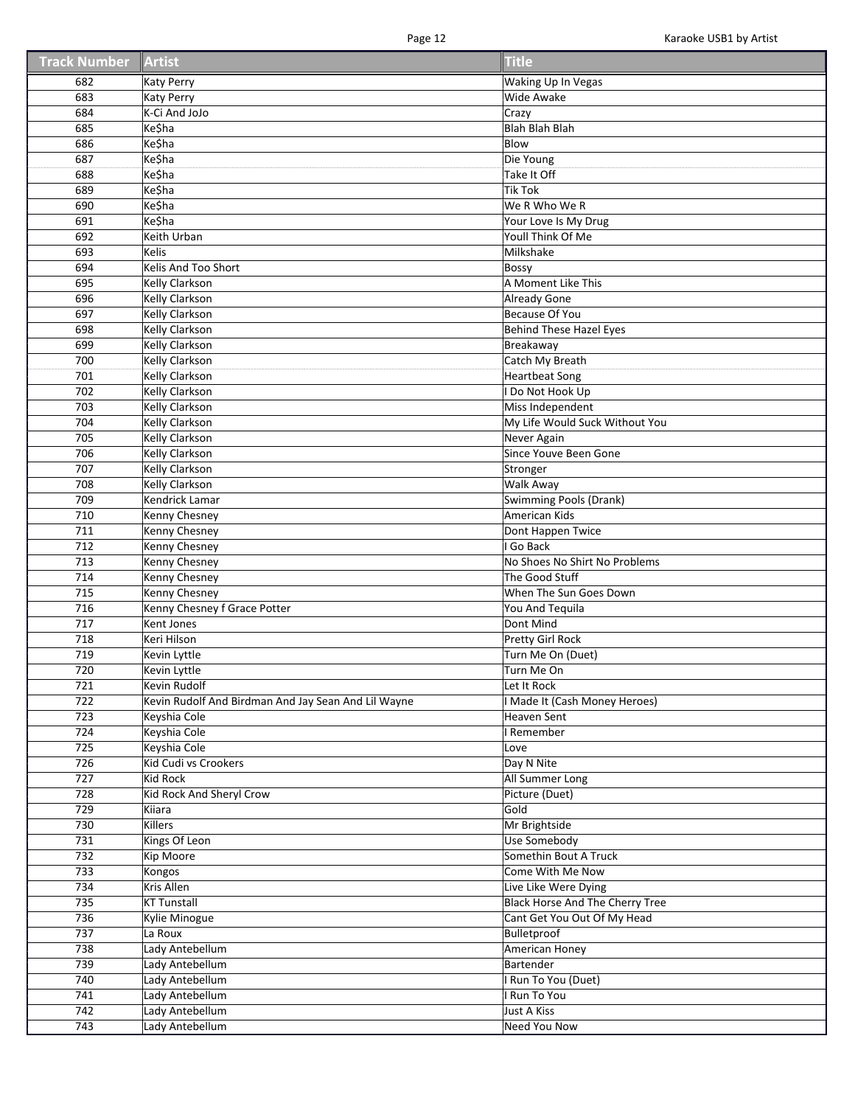| <b>Track Number</b> | Artist                                              | <b>Title</b>                    |
|---------------------|-----------------------------------------------------|---------------------------------|
| 682                 | Katy Perry                                          | <b>Waking Up In Vegas</b>       |
| 683                 | <b>Katy Perry</b>                                   | Wide Awake                      |
| 684                 | K-Ci And JoJo                                       | Crazy                           |
| 685                 | <b>Ke\$ha</b>                                       | <b>Blah Blah Blah</b>           |
| 686                 | <b>Ke\$ha</b>                                       | Blow                            |
| 687                 | <b>Ke\$ha</b>                                       | Die Young                       |
| 688                 | Ke\$ha                                              | Take It Off                     |
| 689                 | Ke\$ha                                              | <b>Tik Tok</b>                  |
| 690                 | Ke\$ha                                              | We R Who We R                   |
| 691                 | Ke\$ha                                              | Your Love Is My Drug            |
| 692                 | Keith Urban                                         | Youll Think Of Me               |
| 693                 | Kelis                                               | Milkshake                       |
| 694                 | Kelis And Too Short                                 | Bossy                           |
| 695                 | Kelly Clarkson                                      | A Moment Like This              |
| 696                 | <b>Kelly Clarkson</b>                               | <b>Already Gone</b>             |
| 697                 | <b>Kelly Clarkson</b>                               | <b>Because Of You</b>           |
| 698                 | <b>Kelly Clarkson</b>                               | Behind These Hazel Eyes         |
| 699                 | <b>Kelly Clarkson</b>                               | Breakaway                       |
| 700                 | Kelly Clarkson                                      | Catch My Breath                 |
| 701                 | Kelly Clarkson                                      | <b>Heartbeat Song</b>           |
| 702                 | <b>Kelly Clarkson</b>                               | Do Not Hook Up                  |
| 703                 | <b>Kelly Clarkson</b>                               | Miss Independent                |
| 704                 | <b>Kelly Clarkson</b>                               | My Life Would Suck Without You  |
| 705                 | <b>Kelly Clarkson</b>                               | Never Again                     |
| 706                 | Kelly Clarkson                                      | Since Youve Been Gone           |
| 707                 | Kelly Clarkson                                      |                                 |
| 708                 | Kelly Clarkson                                      | Stronger<br>Walk Away           |
| 709                 | Kendrick Lamar                                      | <b>Swimming Pools (Drank)</b>   |
| 710                 | Kenny Chesney                                       | American Kids                   |
| 711                 | Kenny Chesney                                       | Dont Happen Twice               |
| 712                 | <b>Kenny Chesney</b>                                | I Go Back                       |
| 713                 | Kenny Chesney                                       | No Shoes No Shirt No Problems   |
| 714                 | Kenny Chesney                                       | The Good Stuff                  |
| 715                 | Kenny Chesney                                       | When The Sun Goes Down          |
| 716                 | Kenny Chesney f Grace Potter                        | You And Tequila                 |
| 717                 | Kent Jones                                          | Dont Mind                       |
| 718                 | Keri Hilson                                         | Pretty Girl Rock                |
| 719                 | Kevin Lyttle                                        | Turn Me On (Duet)               |
| 720                 | Kevin Lyttle                                        | Turn Me On                      |
| 721                 | Kevin Rudolf                                        | Let It Rock                     |
| 722                 | Kevin Rudolf And Birdman And Jay Sean And Lil Wayne | I Made It (Cash Money Heroes)   |
| 723                 | Keyshia Cole                                        | Heaven Sent                     |
| 724                 | Keyshia Cole                                        | I Remember                      |
| 725                 | Keyshia Cole                                        | Love                            |
| 726                 | Kid Cudi vs Crookers                                | Day N Nite                      |
| 727                 | Kid Rock                                            | All Summer Long                 |
| 728                 | Kid Rock And Sheryl Crow                            | Picture (Duet)                  |
| 729                 | Kiiara                                              | Gold                            |
| 730                 | Killers                                             | Mr Brightside                   |
| 731                 | Kings Of Leon                                       | Use Somebody                    |
| 732                 | Kip Moore                                           | Somethin Bout A Truck           |
| 733                 | Kongos                                              | Come With Me Now                |
| 734                 | Kris Allen                                          | Live Like Were Dying            |
| 735                 | <b>KT Tunstall</b>                                  | Black Horse And The Cherry Tree |
| 736                 | Kylie Minogue                                       | Cant Get You Out Of My Head     |
| 737                 | La Roux                                             | Bulletproof                     |
| 738                 | Lady Antebellum                                     | American Honey                  |
| 739                 | Lady Antebellum                                     | Bartender                       |
| 740                 | Lady Antebellum                                     | I Run To You (Duet)             |
| 741                 | Lady Antebellum                                     | <b>Run To You</b>               |
| 742                 | Lady Antebellum                                     | Just A Kiss                     |
|                     |                                                     |                                 |
| 743                 | Lady Antebellum                                     | <b>Need You Now</b>             |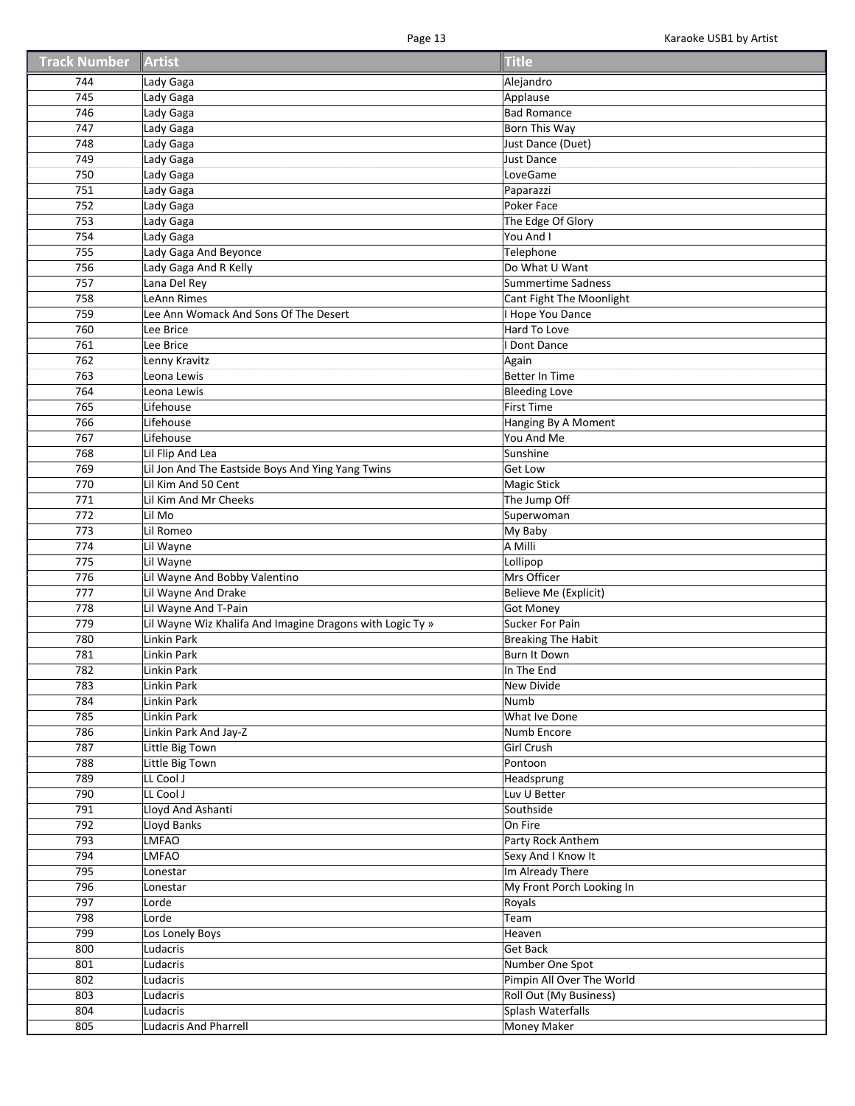| <b>Track Number</b> | Artist                                                    | <b>Title</b>              |
|---------------------|-----------------------------------------------------------|---------------------------|
| 744                 | Lady Gaga                                                 | Alejandro                 |
| 745                 | Lady Gaga                                                 | Applause                  |
| 746                 | Lady Gaga                                                 | <b>Bad Romance</b>        |
| 747                 | Lady Gaga                                                 | Born This Way             |
| 748                 | Lady Gaga                                                 | Just Dance (Duet)         |
| 749                 | Lady Gaga                                                 | <b>Just Dance</b>         |
| 750                 | Lady Gaga                                                 | LoveGame                  |
| 751                 | Lady Gaga                                                 | Paparazzi                 |
| 752                 | Lady Gaga                                                 | Poker Face                |
| 753                 | Lady Gaga                                                 | The Edge Of Glory         |
| 754                 |                                                           | You And I                 |
|                     | Lady Gaga                                                 |                           |
| 755                 | Lady Gaga And Beyonce                                     | Telephone                 |
| 756                 | Lady Gaga And R Kelly                                     | Do What U Want            |
| 757                 | Lana Del Rey                                              | Summertime Sadness        |
| 758                 | LeAnn Rimes                                               | Cant Fight The Moonlight  |
| 759                 | Lee Ann Womack And Sons Of The Desert                     | Hope You Dance            |
| 760                 | Lee Brice                                                 | Hard To Love              |
| 761                 | Lee Brice                                                 | Dont Dance                |
| 762                 | Lenny Kravitz                                             | Again                     |
| 763                 | Leona Lewis                                               | Better In Time            |
| 764                 | Leona Lewis                                               | <b>Bleeding Love</b>      |
| 765                 | Lifehouse                                                 | First Time                |
| 766                 | Lifehouse                                                 | Hanging By A Moment       |
| 767                 | Lifehouse                                                 | You And Me                |
| 768                 | Lil Flip And Lea                                          | Sunshine                  |
| 769                 | Lil Jon And The Eastside Boys And Ying Yang Twins         | <b>Get Low</b>            |
| 770                 | Lil Kim And 50 Cent                                       | <b>Magic Stick</b>        |
| 771                 | Lil Kim And Mr Cheeks                                     | The Jump Off              |
| 772                 | Lil Mo                                                    | Superwoman                |
| 773                 | Lil Romeo                                                 | My Baby                   |
| 774                 | Lil Wayne                                                 | A Milli                   |
| 775                 | Lil Wayne                                                 | Lollipop                  |
| 776                 | Lil Wayne And Bobby Valentino                             | Mrs Officer               |
| 777                 | Lil Wayne And Drake                                       | Believe Me (Explicit)     |
| 778                 | Lil Wayne And T-Pain                                      | <b>Got Money</b>          |
| 779                 | Lil Wayne Wiz Khalifa And Imagine Dragons with Logic Ty » | Sucker For Pain           |
| 780                 | Linkin Park                                               | <b>Breaking The Habit</b> |
| 781                 | Linkin Park                                               | Burn It Down              |
|                     |                                                           |                           |
| 782                 | Linkin Park                                               | In The End                |
| 783                 | Linkin Park                                               | New Divide                |
| 784                 | Linkin Park                                               | Numb                      |
| 785                 | Linkin Park                                               | What Ive Done             |
| 786                 | Linkin Park And Jay-Z                                     | Numb Encore               |
| 787                 | Little Big Town                                           | Girl Crush                |
| 788                 | Little Big Town                                           | Pontoon                   |
| 789                 | LL Cool J                                                 | Headsprung                |
| 790                 | LL Cool J                                                 | Luv U Better              |
| 791                 | Lloyd And Ashanti                                         | Southside                 |
| 792                 | <b>Lloyd Banks</b>                                        | On Fire                   |
| 793                 | <b>LMFAO</b>                                              | Party Rock Anthem         |
| 794                 | <b>LMFAO</b>                                              | Sexy And I Know It        |
| 795                 | Lonestar                                                  | Im Already There          |
| 796                 | Lonestar                                                  | My Front Porch Looking In |
| 797                 | Lorde                                                     | Royals                    |
| 798                 | Lorde                                                     | Team                      |
| 799                 | Los Lonely Boys                                           | Heaven                    |
| 800                 | Ludacris                                                  | Get Back                  |
| 801                 | Ludacris                                                  | Number One Spot           |
| 802                 | Ludacris                                                  | Pimpin All Over The World |
| 803                 | Ludacris                                                  | Roll Out (My Business)    |
| 804                 | Ludacris                                                  | Splash Waterfalls         |
| 805                 | <b>Ludacris And Pharrell</b>                              | <b>Money Maker</b>        |
|                     |                                                           |                           |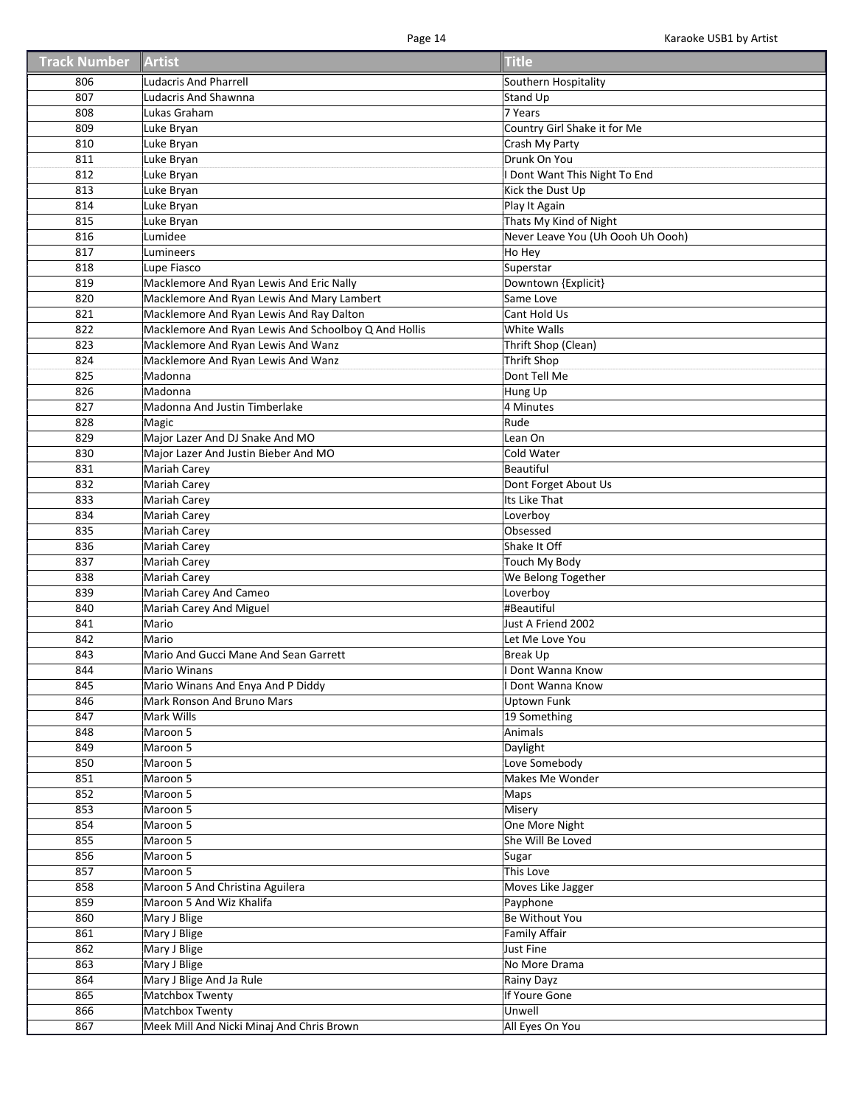| <b>Track Number Artist</b> |                                                                 | <b>Title</b>                      |
|----------------------------|-----------------------------------------------------------------|-----------------------------------|
| 806                        | <b>Ludacris And Pharrell</b>                                    | Southern Hospitality              |
| 807                        | <b>Ludacris And Shawnna</b>                                     | <b>Stand Up</b>                   |
| 808                        | Lukas Graham                                                    | 7 Years                           |
| 809                        | Luke Bryan                                                      | Country Girl Shake it for Me      |
| 810                        | Luke Bryan                                                      | Crash My Party                    |
| 811                        | Luke Bryan                                                      | Drunk On You                      |
| 812                        | Luke Bryan                                                      | Dont Want This Night To End       |
| 813                        | Luke Bryan                                                      | Kick the Dust Up                  |
| 814                        | Luke Bryan                                                      | Play It Again                     |
| 815                        | Luke Bryan                                                      | Thats My Kind of Night            |
| 816                        | Lumidee                                                         | Never Leave You (Uh Oooh Uh Oooh) |
| 817                        | Lumineers                                                       | Ho Hey                            |
| 818                        | Lupe Fiasco                                                     | Superstar                         |
| 819                        | Macklemore And Ryan Lewis And Eric Nally                        | Downtown {Explicit}               |
| 820                        | Macklemore And Ryan Lewis And Mary Lambert                      | Same Love                         |
| 821                        | Macklemore And Ryan Lewis And Ray Dalton                        | Cant Hold Us                      |
| 822                        | Macklemore And Ryan Lewis And Schoolboy Q And Hollis            | White Walls                       |
| 823                        | Macklemore And Ryan Lewis And Wanz                              | Thrift Shop (Clean)               |
| 824                        | Macklemore And Ryan Lewis And Wanz                              | <b>Thrift Shop</b>                |
| 825                        | Madonna                                                         | Dont Tell Me                      |
| 826                        | Madonna                                                         |                                   |
| 827                        |                                                                 | Hung Up<br>4 Minutes              |
|                            | Madonna And Justin Timberlake                                   | Rude                              |
| 828                        | Magic                                                           |                                   |
| 829                        | Major Lazer And DJ Snake And MO                                 | Lean On                           |
| 830                        | Major Lazer And Justin Bieber And MO                            | Cold Water                        |
| 831                        | Mariah Carey                                                    | <b>Beautiful</b>                  |
| 832                        | Mariah Carey                                                    | Dont Forget About Us              |
| 833                        | Mariah Carey                                                    | Its Like That                     |
| 834<br>835                 | Mariah Carey                                                    | Loverboy<br>Obsessed              |
| 836                        | Mariah Carey                                                    | Shake It Off                      |
| 837                        | <b>Mariah Carey</b>                                             |                                   |
|                            | Mariah Carey                                                    | Touch My Body                     |
| 838                        | Mariah Carey                                                    | We Belong Together                |
| 839<br>840                 | Mariah Carey And Cameo                                          | Loverboy<br>#Beautiful            |
| 841                        | Mariah Carey And Miguel<br>Mario                                | Just A Friend 2002                |
| 842                        | Mario                                                           | Let Me Love You                   |
| 843                        | Mario And Gucci Mane And Sean Garrett                           | <b>Break Up</b>                   |
| 844                        | <b>Mario Winans</b>                                             | I Dont Wanna Know                 |
| 845                        |                                                                 | I Dont Wanna Know                 |
| 846                        | Mario Winans And Enya And P Diddy<br>Mark Ronson And Bruno Mars | <b>Uptown Funk</b>                |
| 847                        | Mark Wills                                                      | 19 Something                      |
| 848                        | Maroon 5                                                        | Animals                           |
| 849                        | Maroon 5                                                        | Daylight                          |
| 850                        | Maroon 5                                                        | Love Somebody                     |
| 851                        | Maroon 5                                                        | Makes Me Wonder                   |
| 852                        | Maroon 5                                                        | Maps                              |
| 853                        | Maroon 5                                                        | Misery                            |
| 854                        | Maroon 5                                                        | One More Night                    |
| 855                        | Maroon 5                                                        | She Will Be Loved                 |
|                            |                                                                 |                                   |
| 856                        | Maroon 5                                                        | Sugar                             |
| 857                        | Maroon 5                                                        | This Love                         |
| 858                        | Maroon 5 And Christina Aguilera                                 | Moves Like Jagger                 |
| 859                        | Maroon 5 And Wiz Khalifa                                        | Payphone                          |
| 860                        | Mary J Blige                                                    | Be Without You                    |
| 861                        | Mary J Blige                                                    | <b>Family Affair</b>              |
| 862                        | Mary J Blige                                                    | <b>Just Fine</b>                  |
| 863                        | Mary J Blige                                                    | No More Drama                     |
| 864                        | Mary J Blige And Ja Rule                                        | Rainy Dayz                        |
| 865                        | Matchbox Twenty                                                 | If Youre Gone                     |
| 866                        | Matchbox Twenty                                                 | Unwell                            |
| 867                        | Meek Mill And Nicki Minaj And Chris Brown                       | All Eyes On You                   |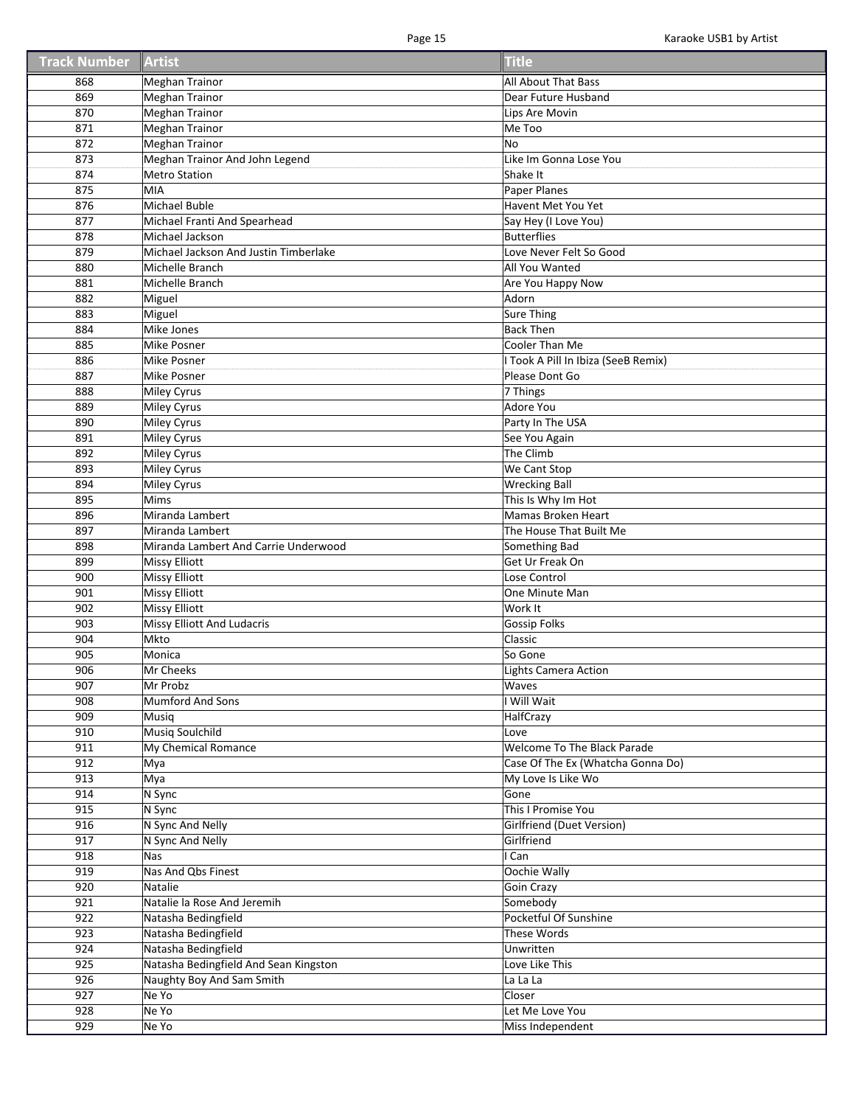| Track Number Artist |                                              | <b>Title</b>                        |
|---------------------|----------------------------------------------|-------------------------------------|
| 868                 | <b>Meghan Trainor</b>                        | All About That Bass                 |
| 869                 | <b>Meghan Trainor</b>                        | Dear Future Husband                 |
| 870                 | <b>Meghan Trainor</b>                        | Lips Are Movin                      |
| 871                 | Meghan Trainor                               | Me Too                              |
| 872                 | <b>Meghan Trainor</b>                        | <b>No</b>                           |
| 873                 | Meghan Trainor And John Legend               | Like Im Gonna Lose You              |
| 874                 | <b>Metro Station</b>                         | Shake It                            |
| 875                 | MIA                                          | Paper Planes                        |
| 876                 | Michael Buble                                | Havent Met You Yet                  |
| 877                 | Michael Franti And Spearhead                 | Say Hey (I Love You)                |
| 878                 | Michael Jackson                              | Butterflies                         |
| 879                 | Michael Jackson And Justin Timberlake        | Love Never Felt So Good             |
| 880                 | Michelle Branch                              | All You Wanted                      |
| 881                 | Michelle Branch                              | Are You Happy Now                   |
| 882                 | Miguel                                       | Adorn                               |
| 883                 | Miguel                                       | <b>Sure Thing</b>                   |
| 884                 | Mike Jones                                   | <b>Back Then</b>                    |
| 885                 | <b>Mike Posner</b>                           | Cooler Than Me                      |
| 886                 | <b>Mike Posner</b>                           | I Took A Pill In Ibiza (SeeB Remix) |
| 887                 | Mike Posner                                  | Please Dont Go                      |
| 888                 |                                              | 7 Things                            |
| 889                 | Miley Cyrus                                  | Adore You                           |
|                     | Miley Cyrus                                  |                                     |
| 890<br>891          | Miley Cyrus                                  | Party In The USA                    |
|                     | Miley Cyrus                                  | See You Again                       |
| 892                 | Miley Cyrus                                  | The Climb                           |
| 893                 | <b>Miley Cyrus</b>                           | We Cant Stop                        |
| 894<br>895          | <b>Miley Cyrus</b><br><b>Mims</b>            | <b>Wrecking Ball</b>                |
|                     |                                              | This Is Why Im Hot                  |
| 896                 | Miranda Lambert                              | Mamas Broken Heart                  |
| 897                 | Miranda Lambert                              | The House That Built Me             |
| 898<br>899          | Miranda Lambert And Carrie Underwood         | Something Bad<br>Get Ur Freak On    |
| 900                 | <b>Missy Elliott</b>                         | Lose Control                        |
|                     | <b>Missy Elliott</b>                         |                                     |
| 901<br>902          | <b>Missy Elliott</b><br><b>Missy Elliott</b> | One Minute Man<br>Work It           |
| 903                 | Missy Elliott And Ludacris                   | <b>Gossip Folks</b>                 |
| 904                 | <b>Mkto</b>                                  | Classic                             |
| 905                 | Monica                                       | So Gone                             |
| 906                 | Mr Cheeks                                    | <b>Lights Camera Action</b>         |
|                     |                                              |                                     |
| 907<br>908          | Mr Probz<br><b>Mumford And Sons</b>          | Waves<br>I Will Wait                |
| 909                 | Musiq                                        | HalfCrazy                           |
| 910                 | <b>Musiq Soulchild</b>                       | Love                                |
| 911                 | My Chemical Romance                          | Welcome To The Black Parade         |
| 912                 | Mya                                          | Case Of The Ex (Whatcha Gonna Do)   |
| 913                 | Mya                                          | My Love Is Like Wo                  |
| 914                 | N Sync                                       | Gone                                |
| 915                 | N Sync                                       | This I Promise You                  |
| 916                 | N Sync And Nelly                             | Girlfriend (Duet Version)           |
| 917                 | N Sync And Nelly                             | Girlfriend                          |
|                     | Nas                                          | I Can                               |
| 918<br>919          | Nas And Qbs Finest                           |                                     |
|                     |                                              | Oochie Wally                        |
| 920                 | Natalie                                      | Goin Crazy                          |
| 921                 | Natalie la Rose And Jeremih                  | Somebody                            |
| 922                 | Natasha Bedingfield                          | Pocketful Of Sunshine               |
| 923                 | Natasha Bedingfield                          | These Words                         |
| 924                 | Natasha Bedingfield                          | Unwritten                           |
| 925                 | Natasha Bedingfield And Sean Kingston        | Love Like This                      |
| 926                 | Naughty Boy And Sam Smith                    | La La La                            |
| 927                 | Ne Yo                                        | Closer                              |
| 928                 | Ne Yo                                        | Let Me Love You                     |
| 929                 | Ne Yo                                        | Miss Independent                    |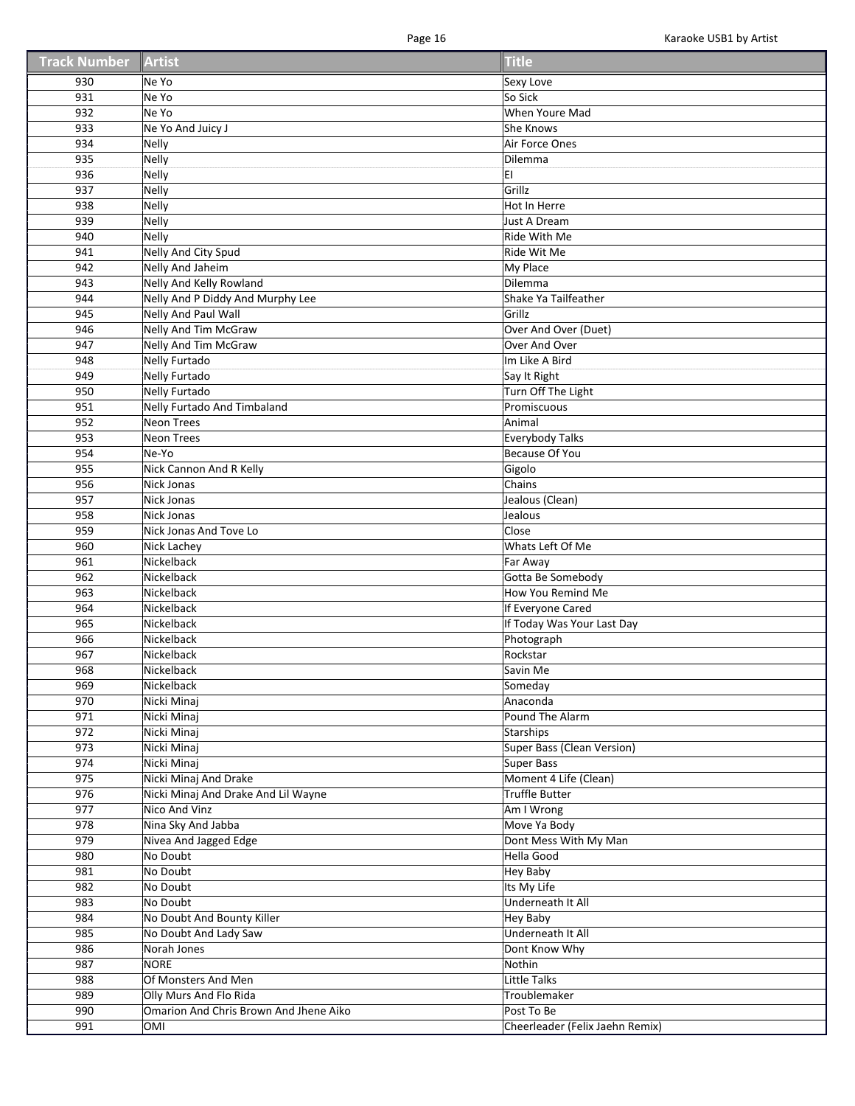| <b>Track Number Artist</b> |                                        | <b>Title</b>                    |
|----------------------------|----------------------------------------|---------------------------------|
| 930                        | Ne Yo                                  | Sexy Love                       |
| 931                        | Ne Yo                                  | So Sick                         |
| 932                        | Ne Yo                                  | When Youre Mad                  |
| 933                        | Ne Yo And Juicy J                      | She Knows                       |
| 934                        | <b>Nelly</b>                           | Air Force Ones                  |
| 935                        | <b>Nelly</b>                           | Dilemma                         |
| 936                        | <b>Nelly</b>                           | EI                              |
| 937                        | <b>Nelly</b>                           | Grillz                          |
| 938                        | <b>Nelly</b>                           | Hot In Herre                    |
| 939                        | <b>Nelly</b>                           | <b>Just A Dream</b>             |
| 940                        | <b>Nelly</b>                           | Ride With Me                    |
| 941                        | <b>Nelly And City Spud</b>             | Ride Wit Me                     |
| 942                        | <b>Nelly And Jaheim</b>                | My Place                        |
| 943                        | Nelly And Kelly Rowland                | Dilemma                         |
| 944                        | Nelly And P Diddy And Murphy Lee       | Shake Ya Tailfeather            |
| 945                        | <b>Nelly And Paul Wall</b>             | Grillz                          |
| 946                        | <b>Nelly And Tim McGraw</b>            | Over And Over (Duet)            |
| 947                        | Nelly And Tim McGraw                   | Over And Over                   |
| 948                        | <b>Nelly Furtado</b>                   | Im Like A Bird                  |
| 949                        | Nelly Furtado                          | Say It Right                    |
| 950                        | <b>Nelly Furtado</b>                   | Turn Off The Light              |
| 951                        | Nelly Furtado And Timbaland            | Promiscuous                     |
| 952                        | <b>Neon Trees</b>                      | Animal                          |
| 953                        | <b>Neon Trees</b>                      | <b>Everybody Talks</b>          |
| 954                        | Ne-Yo                                  | Because Of You                  |
| 955                        | Nick Cannon And R Kelly                | Gigolo                          |
| 956                        | Nick Jonas                             | Chains                          |
| 957                        | Nick Jonas                             | Jealous (Clean)                 |
| 958                        | Nick Jonas                             | Jealous                         |
| 959                        | Nick Jonas And Tove Lo                 | Close                           |
| 960                        | Nick Lachey                            | Whats Left Of Me                |
| 961                        | Nickelback                             | Far Away                        |
| 962                        | Nickelback                             | Gotta Be Somebody               |
| 963                        | Nickelback                             | How You Remind Me               |
| 964                        | Nickelback                             | If Everyone Cared               |
| 965                        | Nickelback                             | If Today Was Your Last Day      |
| 966                        | Nickelback                             | Photograph                      |
| 967                        | Nickelback                             | Rockstar                        |
| 968                        | Nickelback                             | Savin Me                        |
| 969                        | Nickelback                             | Someday                         |
| 970                        | Nicki Minaj                            | Anaconda                        |
| 971                        | Nicki Minaj                            | Pound The Alarm                 |
| 972                        | Nicki Minaj                            | Starships                       |
| 973                        | Nicki Minaj                            | Super Bass (Clean Version)      |
| 974                        | Nicki Minaj                            | Super Bass                      |
| 975                        | Nicki Minaj And Drake                  | Moment 4 Life (Clean)           |
| 976                        | Nicki Minaj And Drake And Lil Wayne    | <b>Truffle Butter</b>           |
| 977                        | Nico And Vinz                          | Am I Wrong                      |
| 978                        | Nina Sky And Jabba                     | Move Ya Body                    |
| 979                        | Nivea And Jagged Edge                  | Dont Mess With My Man           |
| 980                        | No Doubt                               | Hella Good                      |
| 981                        | No Doubt                               | <b>Hey Baby</b>                 |
| 982                        | No Doubt                               | Its My Life                     |
| 983                        | No Doubt                               | Underneath It All               |
| 984                        | No Doubt And Bounty Killer             | <b>Hey Baby</b>                 |
| 985                        | No Doubt And Lady Saw                  | Underneath It All               |
| 986                        | Norah Jones                            | Dont Know Why                   |
| 987                        | <b>NORE</b>                            | Nothin                          |
| 988                        | Of Monsters And Men                    | <b>Little Talks</b>             |
| 989                        | Olly Murs And Flo Rida                 | Troublemaker                    |
| 990                        | Omarion And Chris Brown And Jhene Aiko | Post To Be                      |
| 991                        | <b>OMI</b>                             | Cheerleader (Felix Jaehn Remix) |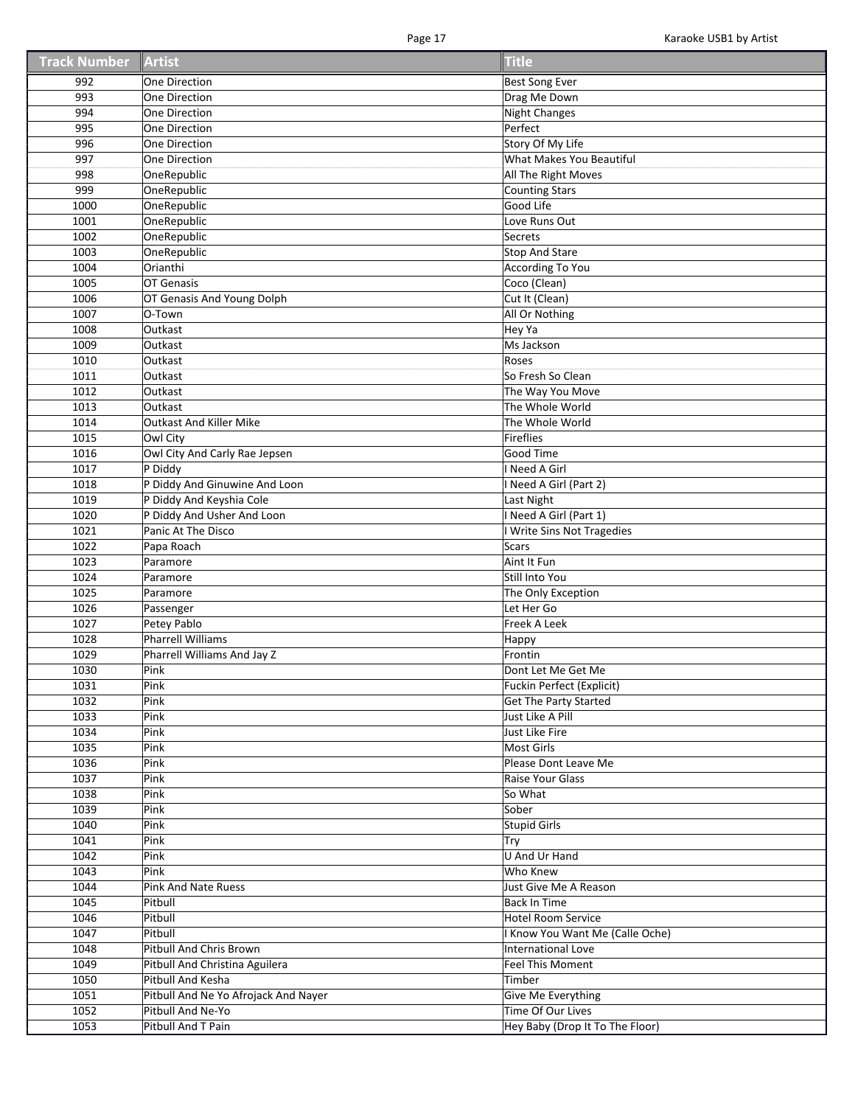| <b>Track Number</b> | Artist                               | Title                               |
|---------------------|--------------------------------------|-------------------------------------|
| 992                 | One Direction                        | <b>Best Song Ever</b>               |
| 993                 | One Direction                        | Drag Me Down                        |
| 994                 | One Direction                        | <b>Night Changes</b>                |
| 995                 | One Direction                        | Perfect                             |
| 996                 | One Direction                        | Story Of My Life                    |
| 997                 | One Direction                        | What Makes You Beautiful            |
| 998                 | OneRepublic                          | All The Right Moves                 |
| 999                 | OneRepublic                          | <b>Counting Stars</b>               |
| 1000                | OneRepublic                          | Good Life                           |
| 1001                | OneRepublic                          | Love Runs Out                       |
| 1002                | OneRepublic                          | Secrets                             |
| 1003                | OneRepublic                          | <b>Stop And Stare</b>               |
| 1004                | Orianthi                             | <b>According To You</b>             |
| 1005                | OT Genasis                           | Coco (Clean)                        |
| 1006                | OT Genasis And Young Dolph           | Cut It (Clean)                      |
| 1007                | O-Town                               | All Or Nothing                      |
| 1008                | Outkast                              | Hey Ya                              |
| 1009                | Outkast                              | Ms Jackson                          |
| 1010                | Outkast                              | Roses                               |
| 1011                | Outkast                              | So Fresh So Clean                   |
| 1012                | Outkast                              | The Way You Move                    |
| 1013                | Outkast                              | The Whole World                     |
| 1014                | <b>Outkast And Killer Mike</b>       | The Whole World                     |
| 1015                | Owl City                             | Fireflies                           |
| 1016                | Owl City And Carly Rae Jepsen        | Good Time                           |
| 1017                | P Diddy                              | I Need A Girl                       |
| 1018                | P Diddy And Ginuwine And Loon        | Need A Girl (Part 2)                |
| 1019                | P Diddy And Keyshia Cole             | Last Night                          |
| 1020                | P Diddy And Usher And Loon           | Need A Girl (Part 1)                |
| 1021                | Panic At The Disco                   |                                     |
| 1022                | Papa Roach                           | I Write Sins Not Tragedies<br>Scars |
| 1023                | Paramore                             | Aint It Fun                         |
| 1024                | Paramore                             | Still Into You                      |
| 1025                | Paramore                             | The Only Exception                  |
| 1026                | Passenger                            | Let Her Go                          |
| 1027                | Petey Pablo                          | Freek A Leek                        |
| 1028                | <b>Pharrell Williams</b>             | Нарру                               |
| 1029                | Pharrell Williams And Jay Z          | Frontin                             |
| 1030                | Pink                                 | Dont Let Me Get Me                  |
| 1031                | Pink                                 | Fuckin Perfect (Explicit)           |
| 1032                | Pink                                 | <b>Get The Party Started</b>        |
| 1033                | Pink                                 | Just Like A Pill                    |
| 1034                | Pink                                 | Just Like Fire                      |
| 1035                | Pink                                 | Most Girls                          |
| 1036                | Pink                                 | Please Dont Leave Me                |
| 1037                | Pink                                 | Raise Your Glass                    |
| 1038                | Pink                                 | So What                             |
| 1039                | Pink                                 | Sober                               |
| 1040                | Pink                                 | <b>Stupid Girls</b>                 |
| 1041                | Pink                                 | Try                                 |
| 1042                | Pink                                 | <b>U And Ur Hand</b>                |
| 1043                | Pink                                 | Who Knew                            |
| 1044                | <b>Pink And Nate Ruess</b>           | Just Give Me A Reason               |
| 1045                | Pitbull                              | <b>Back In Time</b>                 |
| 1046                | Pitbull                              | <b>Hotel Room Service</b>           |
| 1047                | Pitbull                              | I Know You Want Me (Calle Oche)     |
| 1048                | Pitbull And Chris Brown              | International Love                  |
| 1049                | Pitbull And Christina Aguilera       | <b>Feel This Moment</b>             |
| 1050                | Pitbull And Kesha                    | Timber                              |
| 1051                | Pitbull And Ne Yo Afrojack And Nayer | Give Me Everything                  |
| 1052                | Pitbull And Ne-Yo                    | Time Of Our Lives                   |
| 1053                | Pitbull And T Pain                   | Hey Baby (Drop It To The Floor)     |
|                     |                                      |                                     |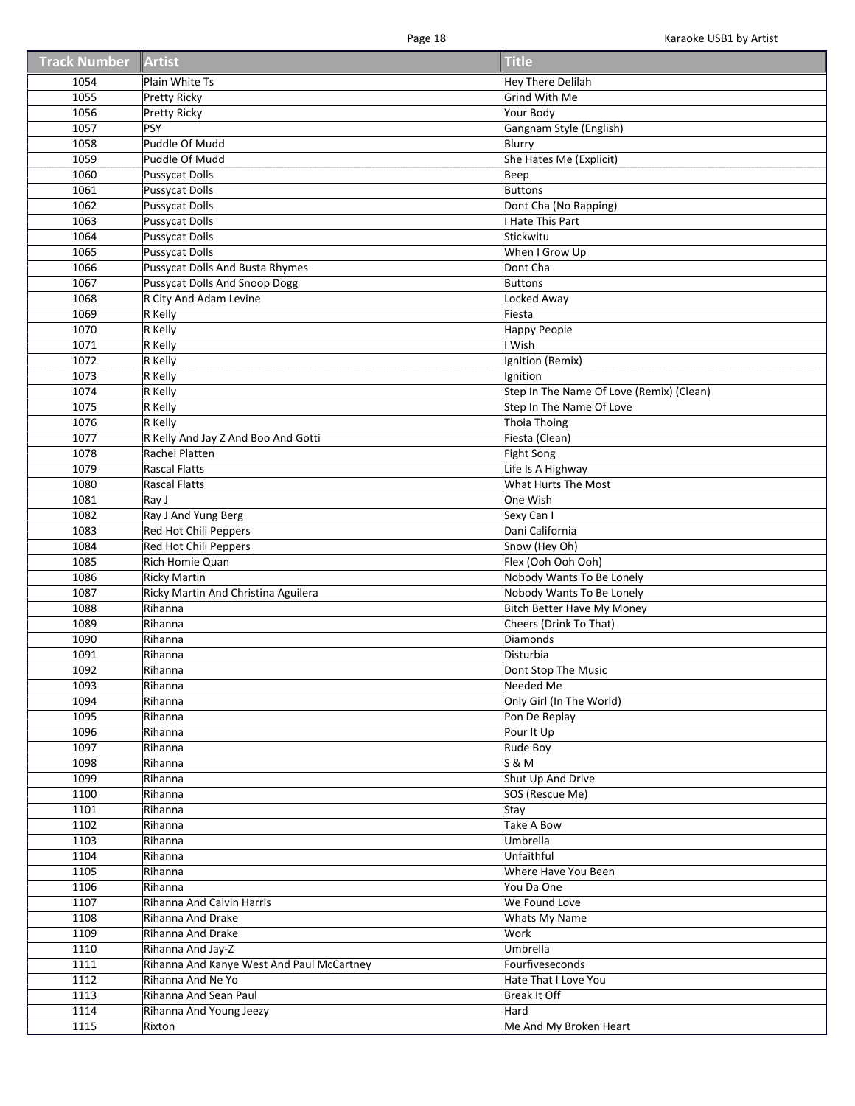| <b>Track Number</b> | Artist                                         | <b>Title</b>                              |
|---------------------|------------------------------------------------|-------------------------------------------|
| 1054                | Plain White Ts                                 | <b>Hey There Delilah</b>                  |
| 1055                | <b>Pretty Ricky</b>                            | Grind With Me                             |
| 1056                | Pretty Ricky                                   | Your Body                                 |
| 1057                | PSY                                            | Gangnam Style (English)                   |
| 1058                | Puddle Of Mudd                                 | Blurry                                    |
| 1059                | Puddle Of Mudd                                 | She Hates Me (Explicit)                   |
| 1060                | <b>Pussycat Dolls</b>                          | Beep                                      |
| 1061                | <b>Pussycat Dolls</b>                          | <b>Buttons</b>                            |
| 1062                | <b>Pussycat Dolls</b>                          | Dont Cha (No Rapping)                     |
| 1063                | <b>Pussycat Dolls</b>                          | I Hate This Part                          |
| 1064                | Pussycat Dolls                                 | Stickwitu                                 |
| 1065                | <b>Pussycat Dolls</b>                          | When I Grow Up                            |
| 1066                | <b>Pussycat Dolls And Busta Rhymes</b>         | Dont Cha                                  |
| 1067                | <b>Pussycat Dolls And Snoop Dogg</b>           | <b>Buttons</b>                            |
| 1068                | R City And Adam Levine                         | Locked Away                               |
| 1069                | R Kelly                                        | Fiesta                                    |
| 1070                | R Kelly                                        | Happy People                              |
| 1071                | R Kelly                                        | I Wish                                    |
| 1072                | R Kelly                                        | Ignition (Remix)                          |
| 1073                | R Kelly                                        | Ignition                                  |
| 1074                | R Kelly                                        | Step In The Name Of Love (Remix) (Clean)  |
|                     | R Kelly                                        | Step In The Name Of Love                  |
| 1075<br>1076        | R Kelly                                        | <b>Thoia Thoing</b>                       |
|                     |                                                |                                           |
| 1077                | R Kelly And Jay Z And Boo And Gotti            | Fiesta (Clean)                            |
| 1078                | Rachel Platten                                 | <b>Fight Song</b>                         |
| 1079                | <b>Rascal Flatts</b>                           | Life Is A Highway                         |
| 1080                | <b>Rascal Flatts</b>                           | What Hurts The Most                       |
| 1081                | Ray J                                          | One Wish                                  |
| 1082                | Ray J And Yung Berg                            | Sexy Can I                                |
| 1083                | Red Hot Chili Peppers                          | Dani California                           |
| 1084                | Red Hot Chili Peppers                          | Snow (Hey Oh)                             |
| 1085                | Rich Homie Quan                                | Flex (Ooh Ooh Ooh)                        |
| 1086                | <b>Ricky Martin</b>                            | Nobody Wants To Be Lonely                 |
| 1087<br>1088        | Ricky Martin And Christina Aguilera<br>Rihanna | Nobody Wants To Be Lonely                 |
|                     | Rihanna                                        | <b>Bitch Better Have My Money</b>         |
| 1089<br>1090        | Rihanna                                        | Cheers (Drink To That)<br><b>Diamonds</b> |
| 1091                | Rihanna                                        | Disturbia                                 |
| 1092                | Rihanna                                        |                                           |
|                     |                                                | Dont Stop The Music                       |
| 1093                | Rihanna                                        | Needed Me                                 |
| 1094                | Rihanna                                        | Only Girl (In The World)                  |
| 1095                | Rihanna                                        | Pon De Replay                             |
| 1096                | Rihanna                                        | Pour It Up                                |
| 1097                | Rihanna                                        | Rude Boy                                  |
| 1098                | Rihanna                                        | <b>S &amp; M</b>                          |
| 1099                | Rihanna                                        | Shut Up And Drive                         |
| 1100                | Rihanna                                        | SOS (Rescue Me)                           |
| 1101                | Rihanna                                        | Stay                                      |
| 1102                | Rihanna                                        | <b>Take A Bow</b>                         |
| 1103                | Rihanna                                        | Umbrella                                  |
| 1104                | Rihanna                                        | Unfaithful                                |
| 1105                | Rihanna                                        | Where Have You Been                       |
| 1106                | Rihanna                                        | You Da One                                |
| 1107                | Rihanna And Calvin Harris                      | We Found Love                             |
| 1108                | Rihanna And Drake                              | Whats My Name                             |
| 1109                | Rihanna And Drake                              | Work                                      |
| 1110                | Rihanna And Jay-Z                              | Umbrella                                  |
| 1111                | Rihanna And Kanye West And Paul McCartney      | Fourfiveseconds                           |
| 1112                | Rihanna And Ne Yo                              | Hate That I Love You                      |
| 1113                | Rihanna And Sean Paul                          | Break It Off                              |
| 1114                | Rihanna And Young Jeezy                        | Hard                                      |
| 1115                | Rixton                                         | Me And My Broken Heart                    |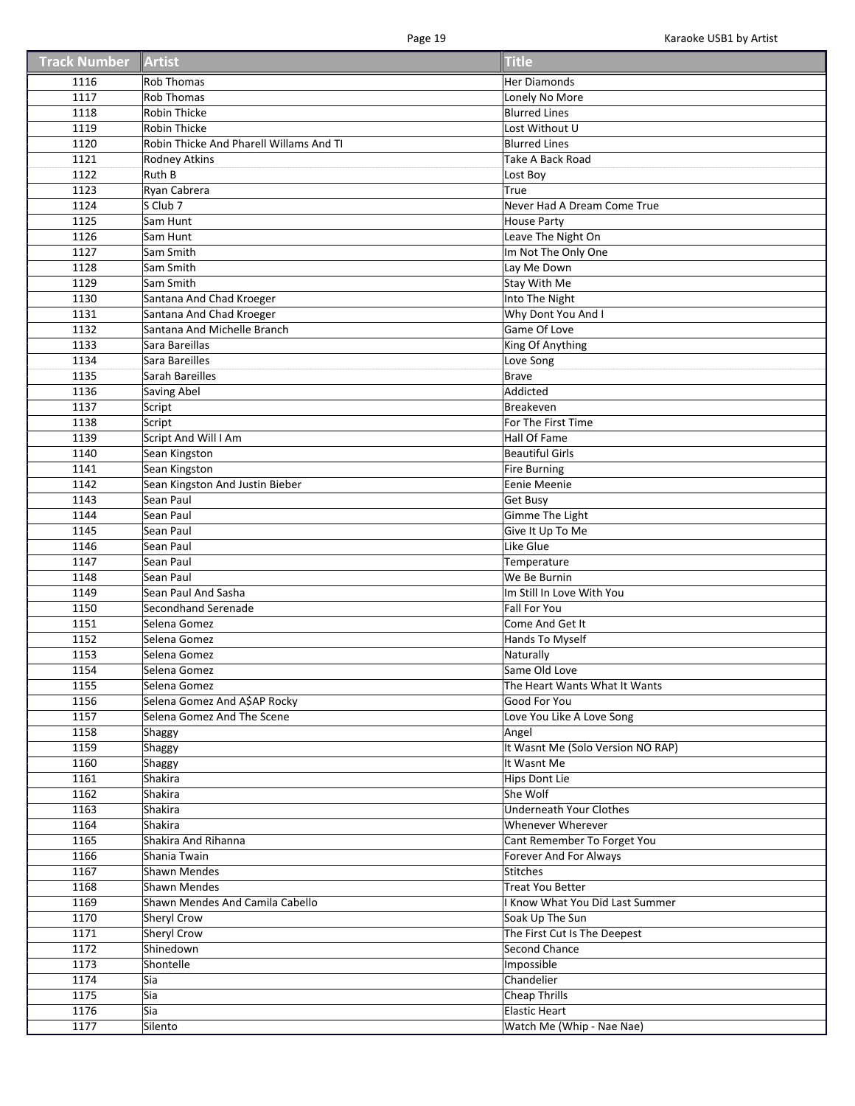| <b>Track Number Artist</b> |                                         | <b>Title</b>                      |
|----------------------------|-----------------------------------------|-----------------------------------|
| 1116                       | <b>Rob Thomas</b>                       | Her Diamonds                      |
| 1117                       | <b>Rob Thomas</b>                       | Lonely No More                    |
| 1118                       | <b>Robin Thicke</b>                     | <b>Blurred Lines</b>              |
| 1119                       | <b>Robin Thicke</b>                     | Lost Without U                    |
| 1120                       | Robin Thicke And Pharell Willams And TI | <b>Blurred Lines</b>              |
| 1121                       | Rodney Atkins                           | Take A Back Road                  |
| 1122                       | Ruth B                                  | Lost Boy                          |
| 1123                       | Ryan Cabrera                            | True                              |
| 1124                       | S Club 7                                | Never Had A Dream Come True       |
| 1125                       | Sam Hunt                                | <b>House Party</b>                |
| 1126                       | Sam Hunt                                | Leave The Night On                |
| 1127                       | Sam Smith                               | Im Not The Only One               |
| 1128                       | Sam Smith                               | Lay Me Down                       |
| 1129                       | Sam Smith                               | Stay With Me                      |
| 1130                       | Santana And Chad Kroeger                | Into The Night                    |
| 1131                       | Santana And Chad Kroeger                | Why Dont You And I                |
| 1132                       | Santana And Michelle Branch             | Game Of Love                      |
| 1133                       | Sara Bareillas                          | King Of Anything                  |
| 1134                       | Sara Bareilles                          | Love Song                         |
| 1135                       | Sarah Bareilles                         | Brave                             |
| 1136                       | Saving Abel                             | Addicted                          |
| 1137                       | Script                                  | <b>Breakeven</b>                  |
| 1138                       | Script                                  | For The First Time                |
| 1139                       | Script And Will I Am                    | Hall Of Fame                      |
| 1140                       | Sean Kingston                           | Beautiful Girls                   |
| 1141                       | Sean Kingston                           | Fire Burning                      |
| 1142                       | Sean Kingston And Justin Bieber         | Eenie Meenie                      |
| 1143                       | Sean Paul                               | <b>Get Busy</b>                   |
| 1144                       | Sean Paul                               | Gimme The Light                   |
| 1145                       | Sean Paul                               | Give It Up To Me                  |
| 1146                       | Sean Paul                               | Like Glue                         |
| 1147                       | Sean Paul                               | Temperature                       |
| 1148                       | Sean Paul                               | We Be Burnin                      |
| 1149                       | Sean Paul And Sasha                     | Im Still In Love With You         |
| 1150                       | Secondhand Serenade                     | <b>Fall For You</b>               |
| 1151                       | Selena Gomez                            | Come And Get It                   |
| 1152                       | Selena Gomez                            | Hands To Myself                   |
| 1153                       | Selena Gomez                            | Naturally                         |
| 1154                       | Selena Gomez                            | Same Old Love                     |
| 1155                       | Selena Gomez                            | The Heart Wants What It Wants     |
| 1156                       | Selena Gomez And A\$AP Rocky            | Good For You                      |
| 1157                       | Selena Gomez And The Scene              | Love You Like A Love Song         |
| 1158                       | Shaggy                                  | Angel                             |
| 1159                       | Shaggy                                  | It Wasnt Me (Solo Version NO RAP) |
| 1160                       | Shaggy                                  | It Wasnt Me                       |
| 1161                       | Shakira                                 | <b>Hips Dont Lie</b>              |
| 1162                       | Shakira                                 | She Wolf                          |
| 1163                       | Shakira                                 | <b>Underneath Your Clothes</b>    |
| 1164                       | Shakira                                 | Whenever Wherever                 |
| 1165                       | Shakira And Rihanna                     | Cant Remember To Forget You       |
| 1166                       | Shania Twain                            | Forever And For Always            |
| 1167                       | <b>Shawn Mendes</b>                     | Stitches                          |
| 1168                       | <b>Shawn Mendes</b>                     | <b>Treat You Better</b>           |
| 1169                       | Shawn Mendes And Camila Cabello         | Know What You Did Last Summer     |
| 1170                       | <b>Sheryl Crow</b>                      | Soak Up The Sun                   |
| 1171                       | <b>Sheryl Crow</b>                      | The First Cut Is The Deepest      |
| 1172                       | Shinedown                               | Second Chance                     |
| 1173                       | Shontelle                               | Impossible                        |
| 1174                       | Sia                                     | Chandelier                        |
| 1175                       | Sia                                     | Cheap Thrills                     |
| 1176                       | Sia                                     | <b>Elastic Heart</b>              |
| 1177                       | Silento                                 | Watch Me (Whip - Nae Nae)         |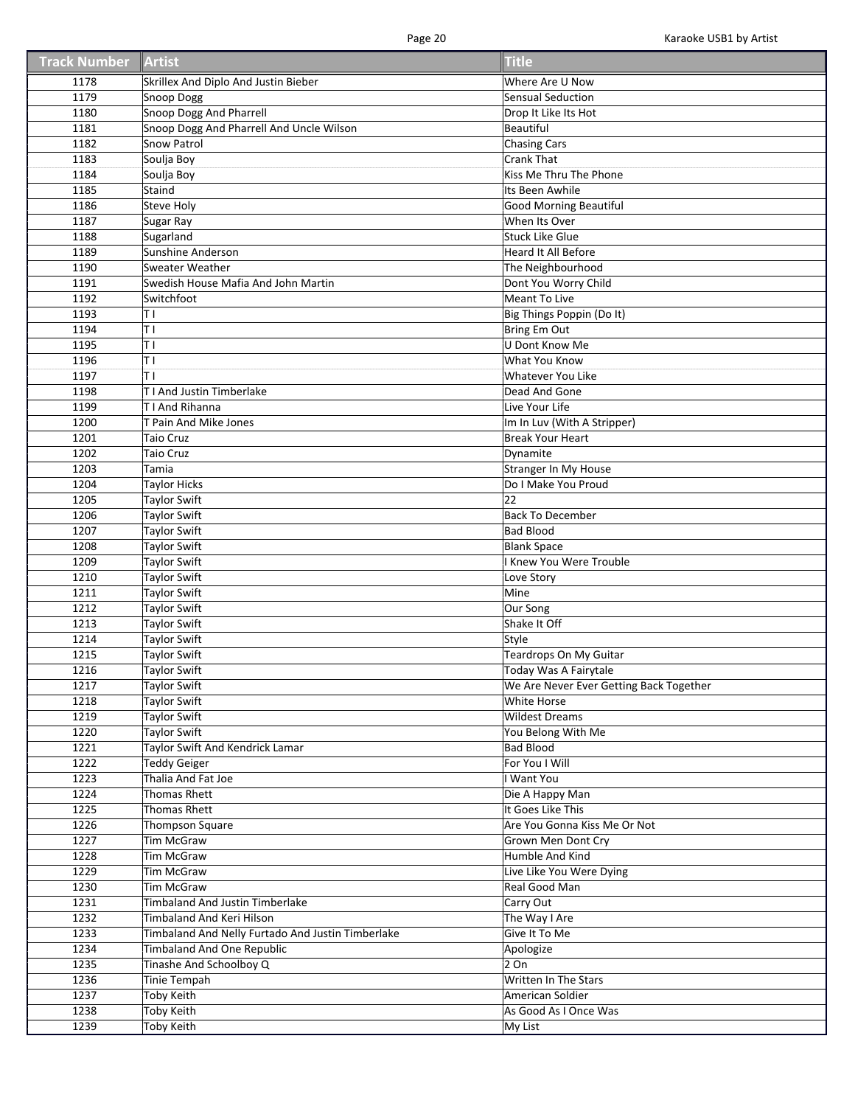| <b>Track Number Artist</b> |                                                   | <b>Title</b>                            |
|----------------------------|---------------------------------------------------|-----------------------------------------|
| 1178                       | Skrillex And Diplo And Justin Bieber              | Where Are U Now                         |
| 1179                       | Snoop Dogg                                        | <b>Sensual Seduction</b>                |
| 1180                       | <b>Snoop Dogg And Pharrell</b>                    | Drop It Like Its Hot                    |
| 1181                       | Snoop Dogg And Pharrell And Uncle Wilson          | Beautiful                               |
| 1182                       | Snow Patrol                                       | <b>Chasing Cars</b>                     |
| 1183                       | Soulja Boy                                        | <b>Crank That</b>                       |
| 1184                       | Soulja Boy                                        | Kiss Me Thru The Phone                  |
| 1185                       | Staind                                            | Its Been Awhile                         |
| 1186                       | Steve Holy                                        | <b>Good Morning Beautiful</b>           |
| 1187                       | Sugar Ray                                         | When Its Over                           |
| 1188                       | Sugarland                                         | Stuck Like Glue                         |
| 1189                       | Sunshine Anderson                                 | Heard It All Before                     |
| 1190                       | <b>Sweater Weather</b>                            | The Neighbourhood                       |
| 1191                       | Swedish House Mafia And John Martin               | Dont You Worry Child                    |
| 1192                       | Switchfoot                                        | Meant To Live                           |
| 1193                       | TΙ                                                | Big Things Poppin (Do It)               |
| 1194                       | TΙ                                                | Bring Em Out                            |
| 1195                       | TΙ                                                | U Dont Know Me                          |
| 1196                       | TΙ                                                | What You Know                           |
| 1197                       | TΙ                                                | Whatever You Like                       |
| 1198                       | T I And Justin Timberlake                         | Dead And Gone                           |
| 1199                       | T I And Rihanna                                   | Live Your Life                          |
| 1200                       | T Pain And Mike Jones                             | Im In Luv (With A Stripper)             |
| 1201                       |                                                   | <b>Break Your Heart</b>                 |
|                            | Taio Cruz                                         |                                         |
| 1202                       | <b>Taio Cruz</b>                                  | Dynamite                                |
| 1203                       | Tamia                                             | <b>Stranger In My House</b>             |
| 1204                       | Taylor Hicks                                      | Do I Make You Proud                     |
| 1205                       | Taylor Swift                                      | 22                                      |
| 1206                       | <b>Taylor Swift</b>                               | <b>Back To December</b>                 |
| 1207                       | Taylor Swift                                      | <b>Bad Blood</b>                        |
| 1208                       | <b>Taylor Swift</b>                               | <b>Blank Space</b>                      |
| 1209                       | <b>Taylor Swift</b>                               | I Knew You Were Trouble                 |
| 1210                       | Taylor Swift                                      | Love Story                              |
| 1211                       | Taylor Swift                                      | Mine                                    |
| 1212                       | Taylor Swift                                      | Our Song                                |
| 1213                       | <b>Taylor Swift</b>                               | Shake It Off                            |
| 1214                       | Taylor Swift                                      | Style                                   |
| 1215                       | <b>Taylor Swift</b>                               | Teardrops On My Guitar                  |
| 1216                       | <b>Taylor Swift</b>                               | Today Was A Fairytale                   |
| 1217                       | Taylor Swift                                      | We Are Never Ever Getting Back Together |
| 1218                       | Taylor Swift                                      | White Horse                             |
| 1219                       | Taylor Swift                                      | <b>Wildest Dreams</b>                   |
| 1220                       | <b>Taylor Swift</b>                               | You Belong With Me                      |
| 1221                       | Taylor Swift And Kendrick Lamar                   | <b>Bad Blood</b>                        |
| 1222                       | <b>Teddy Geiger</b>                               | For You I Will                          |
| 1223                       | Thalia And Fat Joe                                | I Want You                              |
| 1224                       | <b>Thomas Rhett</b>                               | Die A Happy Man                         |
| 1225                       | <b>Thomas Rhett</b>                               | It Goes Like This                       |
| 1226                       | Thompson Square                                   | Are You Gonna Kiss Me Or Not            |
| 1227                       | <b>Tim McGraw</b>                                 | Grown Men Dont Cry                      |
| 1228                       | <b>Tim McGraw</b>                                 | Humble And Kind                         |
| 1229                       | <b>Tim McGraw</b>                                 | Live Like You Were Dying                |
| 1230                       | <b>Tim McGraw</b>                                 | Real Good Man                           |
| 1231                       | Timbaland And Justin Timberlake                   | Carry Out                               |
| 1232                       | Timbaland And Keri Hilson                         | The Way I Are                           |
| 1233                       | Timbaland And Nelly Furtado And Justin Timberlake | Give It To Me                           |
| 1234                       | Timbaland And One Republic                        | Apologize                               |
| 1235                       | Tinashe And Schoolboy Q                           | 2 On                                    |
| 1236                       | Tinie Tempah                                      | Written In The Stars                    |
| 1237                       | Toby Keith                                        | American Soldier                        |
| 1238                       | <b>Toby Keith</b>                                 | As Good As I Once Was                   |
| 1239                       | Toby Keith                                        | My List                                 |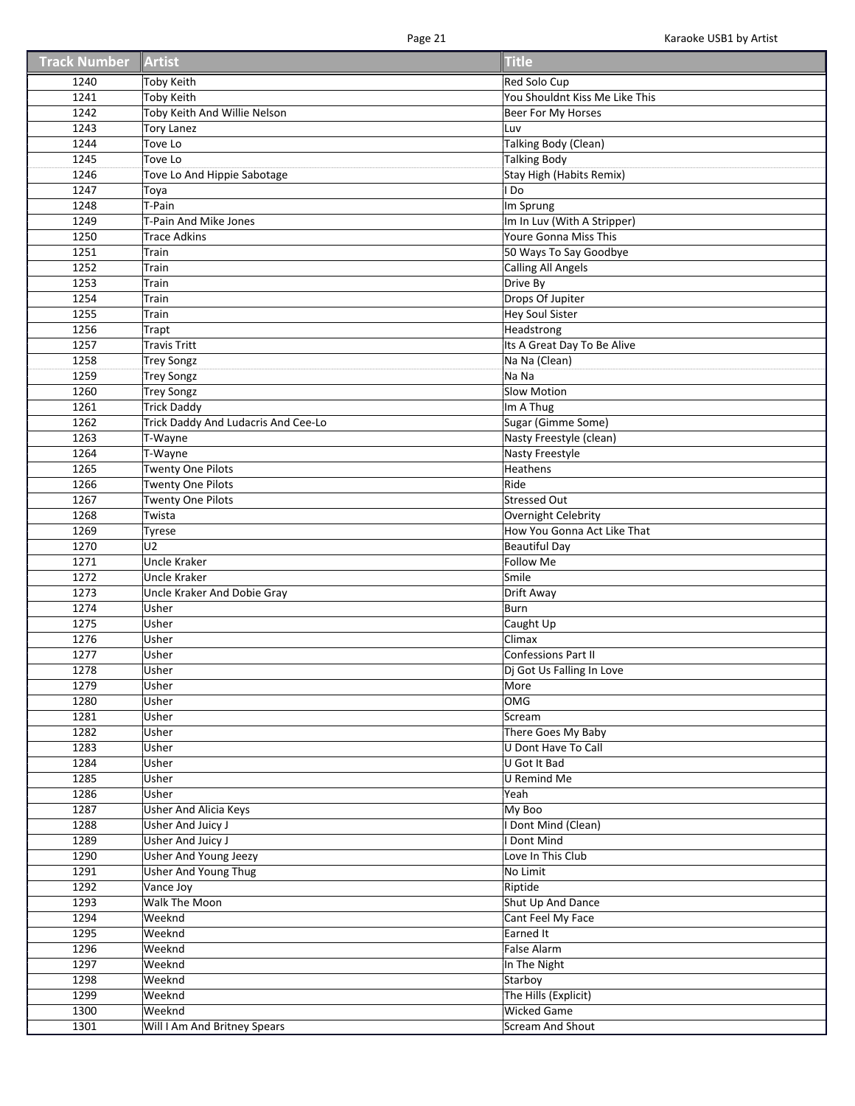| <b>Track Number</b> | Artist                                 | Title                                              |
|---------------------|----------------------------------------|----------------------------------------------------|
| 1240                | <b>Toby Keith</b>                      | Red Solo Cup                                       |
| 1241                | <b>Toby Keith</b>                      | You Shouldnt Kiss Me Like This                     |
| 1242                | Toby Keith And Willie Nelson           | Beer For My Horses                                 |
| 1243                | <b>Tory Lanez</b>                      | Luv                                                |
| 1244                | Tove Lo                                | <b>Talking Body (Clean)</b>                        |
| 1245                | Tove Lo                                | <b>Talking Body</b>                                |
| 1246                | Tove Lo And Hippie Sabotage            | Stay High (Habits Remix)                           |
| 1247                | Toya                                   | l Do                                               |
| 1248                | T-Pain                                 | Im Sprung                                          |
| 1249                | T-Pain And Mike Jones                  | Im In Luv (With A Stripper)                        |
| 1250                | <b>Trace Adkins</b>                    | Youre Gonna Miss This                              |
| 1251                | Train                                  | 50 Ways To Say Goodbye                             |
| 1252                | Train                                  | Calling All Angels                                 |
| 1253                | Train                                  | Drive By                                           |
| 1254                | Train                                  | Drops Of Jupiter                                   |
| 1255                | Train                                  | <b>Hey Soul Sister</b>                             |
| 1256                | Trapt                                  | Headstrong                                         |
| 1257                | <b>Travis Tritt</b>                    | Its A Great Day To Be Alive                        |
| 1258                |                                        | Na Na (Clean)                                      |
| 1259                | <b>Trey Songz</b><br><b>Trey Songz</b> | Na Na                                              |
| 1260                | <b>Trey Songz</b>                      | Slow Motion                                        |
| 1261                |                                        |                                                    |
| 1262                | <b>Trick Daddy</b>                     | Im A Thug<br>Sugar (Gimme Some)                    |
|                     | Trick Daddy And Ludacris And Cee-Lo    | Nasty Freestyle (clean)                            |
| 1263                | T-Wayne                                |                                                    |
| 1264                | T-Wayne                                | <b>Nasty Freestyle</b><br>Heathens                 |
| 1265                | <b>Twenty One Pilots</b>               |                                                    |
| 1266<br>1267        | <b>Twenty One Pilots</b>               | Ride                                               |
|                     | <b>Twenty One Pilots</b>               | <b>Stressed Out</b>                                |
| 1268<br>1269        | Twista                                 | Overnight Celebrity<br>How You Gonna Act Like That |
| 1270                | <b>Tyrese</b><br>U <sub>2</sub>        | <b>Beautiful Day</b>                               |
| 1271                | <b>Uncle Kraker</b>                    | Follow Me                                          |
| 1272                | <b>Uncle Kraker</b>                    | Smile                                              |
| 1273                | Uncle Kraker And Dobie Gray            | Drift Away                                         |
| 1274                | Usher                                  | Burn                                               |
| 1275                | Usher                                  | Caught Up                                          |
| 1276                | Usher                                  | Climax                                             |
| 1277                | Usher                                  | <b>Confessions Part II</b>                         |
| 1278                | Usher                                  | Dj Got Us Falling In Love                          |
| 1279                | Usher                                  | More                                               |
| 1280                | Usher                                  | OMG                                                |
| 1281                | Usher                                  | Scream                                             |
| 1282                | Usher                                  | There Goes My Baby                                 |
| 1283                | Usher                                  | U Dont Have To Call                                |
| 1284                | Usher                                  | U Got It Bad                                       |
| 1285                | Usher                                  | <b>U</b> Remind Me                                 |
| 1286                | Usher                                  | Yeah                                               |
| 1287                | Usher And Alicia Keys                  | My Boo                                             |
| 1288                | Usher And Juicy J                      | Dont Mind (Clean)                                  |
| 1289                | <b>Usher And Juicy J</b>               | Dont Mind                                          |
| 1290                | <b>Usher And Young Jeezy</b>           | Love In This Club                                  |
| 1291                | <b>Usher And Young Thug</b>            | No Limit                                           |
| 1292                | Vance Joy                              | Riptide                                            |
| 1293                | Walk The Moon                          | Shut Up And Dance                                  |
| 1294                | Weeknd                                 | Cant Feel My Face                                  |
| 1295                | Weeknd                                 | Earned It                                          |
| 1296                | Weeknd                                 | <b>False Alarm</b>                                 |
| 1297                | Weeknd                                 | In The Night                                       |
| 1298                | Weeknd                                 | Starboy                                            |
| 1299                | Weeknd                                 | The Hills (Explicit)                               |
| 1300                | Weeknd                                 | <b>Wicked Game</b>                                 |
| 1301                | Will I Am And Britney Spears           | <b>Scream And Shout</b>                            |
|                     |                                        |                                                    |